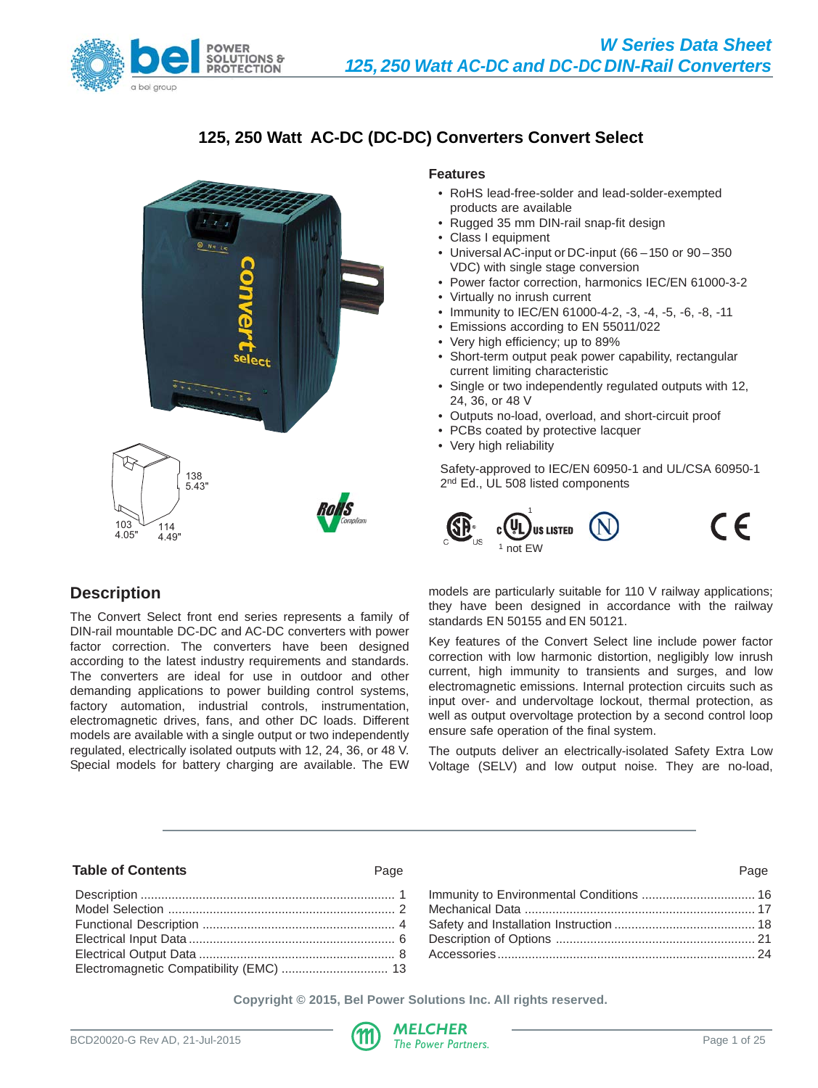

# **125, 250 Watt AC-DC (DC-DC) Converters Convert Select**



# **Features**

- RoHS lead-free-solder and lead-solder-exempted products are available
- Rugged 35 mm DIN-rail snap-fit design
- Class I equipment
- Universal AC-input or DC-input (66 150 or 90 350 VDC) with single stage conversion
- Power factor correction, harmonics IEC/EN 61000-3-2
- Virtually no inrush current
- Immunity to IEC/EN 61000-4-2, -3, -4, -5, -6, -8, -11
- Emissions according to EN 55011/022
- Very high efficiency; up to 89%
- Short-term output peak power capability, rectangular current limiting characteristic
- Single or two independently regulated outputs with 12, 24, 36, or 48 V
- Outputs no-load, overload, and short-circuit proof
- PCBs coated by protective lacquer
- Very high reliability

Safety-approved to IEC/EN 60950-1 and UL/CSA 60950-1 2<sup>nd</sup> Ed., UL 508 listed components



# **Description**

The Convert Select front end series represents a family of DIN-rail mountable DC-DC and AC-DC converters with power factor correction. The converters have been designed according to the latest industry requirements and standards. The converters are ideal for use in outdoor and other demanding applications to power building control systems, factory automation, industrial controls, instrumentation, electromagnetic drives, fans, and other DC loads. Different models are available with a single output or two independently regulated, electrically isolated outputs with 12, 24, 36, or 48 V. Special models for battery charging are available. The EW

models are particularly suitable for 110 V railway applications; they have been designed in accordance with the railway standards EN 50155 and EN 50121.

Key features of the Convert Select line include power factor correction with low harmonic distortion, negligibly low inrush current, high immunity to transients and surges, and low electromagnetic emissions. Internal protection circuits such as input over- and undervoltage lockout, thermal protection, as well as output overvoltage protection by a second control loop ensure safe operation of the final system.

The outputs deliver an electrically-isolated Safety Extra Low Voltage (SELV) and low output noise. They are no-load,

#### **Table of Contents** Page Page

### Description .......................................................................... 1 [Model Selection .................................................................. 2](#page-1-0) [Functional Description ........................................................ 4](#page-3-0) [Electrical Input Data ............................................................ 6](#page-5-0) [Electrical Output Data ......................................................... 8](#page-7-0) [Electromagnetic Compatibility \(EMC\) ............................... 13](#page-12-0)

**Copyright © 2015, Bel Power Solutions Inc. All rights reserved.**

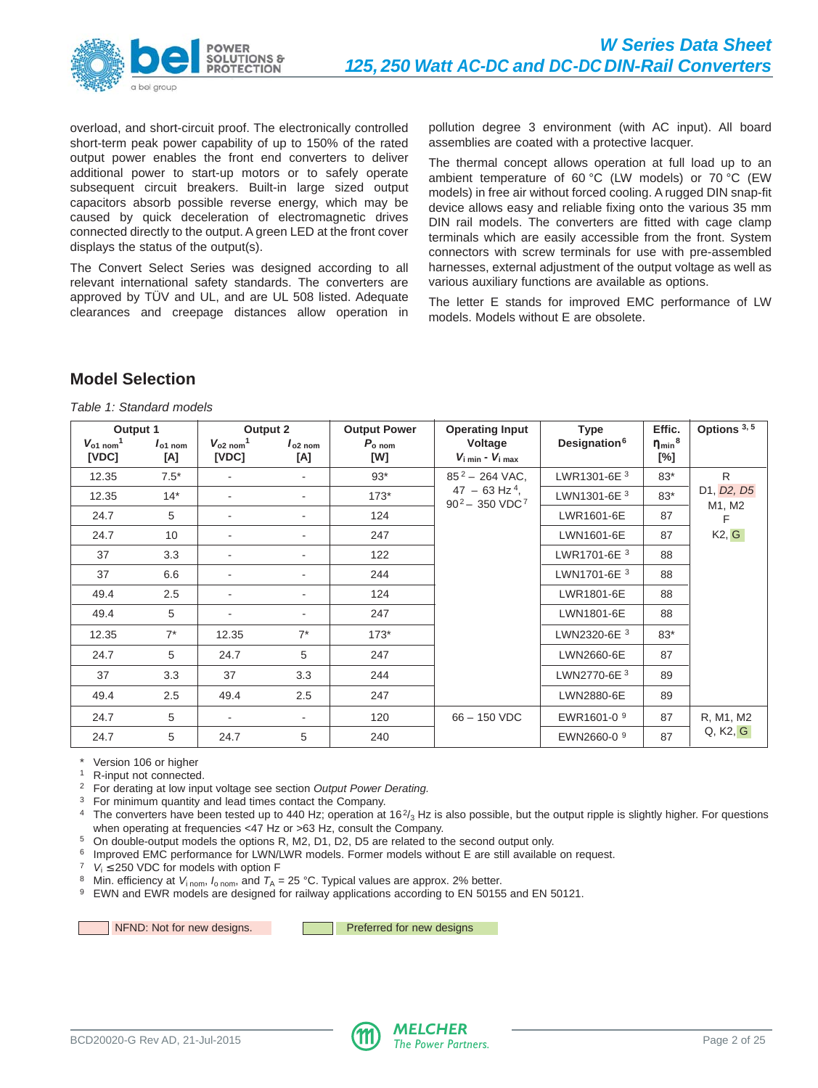<span id="page-1-0"></span>

overload, and short-circuit proof. The electronically controlled short-term peak power capability of up to 150% of the rated output power enables the front end converters to deliver additional power to start-up motors or to safely operate subsequent circuit breakers. Built-in large sized output capacitors absorb possible reverse energy, which may be caused by quick deceleration of electromagnetic drives connected directly to the output. A green LED at the front cover displays the status of the output(s).

The Convert Select Series was designed according to all relevant international safety standards. The converters are approved by TÜV and UL, and are UL 508 listed. Adequate clearances and creepage distances allow operation in pollution degree 3 environment (with AC input). All board assemblies are coated with a protective lacquer.

The thermal concept allows operation at full load up to an ambient temperature of 60 °C (LW models) or 70 °C (EW models) in free air without forced cooling. A rugged DIN snap-fit device allows easy and reliable fixing onto the various 35 mm DIN rail models. The converters are fitted with cage clamp terminals which are easily accessible from the front. System connectors with screw terminals for use with pre-assembled harnesses, external adjustment of the output voltage as well as various auxiliary functions are available as options.

The letter E stands for improved EMC performance of LW models. Models without E are obsolete.

# **Model Selection**

Table 1: Standard models

| Output 1                                         |                     |                                            | Output 2                 | <b>Output Power</b>      | <b>Operating Input</b>                               | <b>Type</b>              | Effic.                                       | Options 3, 5               |              |       |                      |
|--------------------------------------------------|---------------------|--------------------------------------------|--------------------------|--------------------------|------------------------------------------------------|--------------------------|----------------------------------------------|----------------------------|--------------|-------|----------------------|
| $V_{\text{o}1\text{ nom}}$ <sup>1</sup><br>[VDC] | $I_{o1}$ nom<br>[A] | $V_{o2 \text{ nom}}$ <sup>1</sup><br>[VDC] | $I_{o2}$ nom<br>[A]      | $P_{\rm o\; nom}$<br>[W] | Voltage<br>$V_{i \text{ min}}$ - $V_{i \text{ max}}$ | Designation <sup>6</sup> | $\eta$ <sub>min</sub> <sup>8</sup><br>$[\%]$ |                            |              |       |                      |
| 12.35                                            | $7.5*$              |                                            |                          | $93*$                    | $85^2 - 264$ VAC.                                    | LWR1301-6E 3             | $83*$                                        | R.                         |              |       |                      |
| 12.35                                            | $14*$               |                                            |                          | $173*$                   | $47 - 63$ Hz <sup>4</sup> .                          |                          |                                              | $90^2 - 350 \text{ VDC}^7$ | LWN1301-6E 3 | $83*$ | D1, D2, D5<br>M1, M2 |
| 24.7                                             | 5                   |                                            |                          | 124                      |                                                      |                          | LWR1601-6E                                   | 87                         | F            |       |                      |
| 24.7                                             | 10                  | ٠                                          | $\overline{\phantom{0}}$ | 247                      |                                                      | LWN1601-6E               | 87                                           | K2, G                      |              |       |                      |
| 37                                               | 3.3                 | ٠                                          | ۰                        | 122                      |                                                      | LWR1701-6E 3             | 88                                           |                            |              |       |                      |
| 37                                               | 6.6                 |                                            |                          | 244                      |                                                      | LWN1701-6E 3<br>88       |                                              |                            |              |       |                      |
| 49.4                                             | 2.5                 |                                            |                          | 124                      |                                                      | LWR1801-6E               | 88                                           |                            |              |       |                      |
| 49.4                                             | 5                   | $\overline{\phantom{a}}$                   | $\overline{\phantom{0}}$ | 247                      |                                                      | LWN1801-6E               | 88                                           |                            |              |       |                      |
| 12.35                                            | $7^*$               | 12.35                                      | $7^*$                    | $173*$                   |                                                      | LWN2320-6E 3             | $83*$                                        |                            |              |       |                      |
| 24.7                                             | 5                   | 24.7                                       | 5                        | 247                      |                                                      | LWN2660-6E               | 87                                           |                            |              |       |                      |
| 37                                               | 3.3                 | 37                                         | 3.3                      | 244                      |                                                      | LWN2770-6E 3             | 89                                           |                            |              |       |                      |
| 49.4                                             | 2.5                 | 49.4                                       | 2.5                      | 247                      |                                                      | LWN2880-6E               | 89                                           |                            |              |       |                      |
| 24.7                                             | 5                   | $\overline{\phantom{a}}$                   | ۰.                       | 120                      | $66 - 150$ VDC                                       | EWR1601-0 9              | 87                                           | R, M1, M2                  |              |       |                      |
| 24.7                                             | 5                   | 24.7                                       | 5                        | 240                      |                                                      | EWN2660-0 9              | 87                                           | Q, K2, G                   |              |       |                      |

Version 106 or higher

<sup>1</sup> R-input not connected.

<sup>2</sup> For derating at low input voltage see section Output Power Derating.

<sup>3</sup> For minimum quantity and lead times contact the Company.

<sup>4</sup> The converters have been tested up to 440 Hz; operation at 16 $\frac{2}{3}$  Hz is also possible, but the output ripple is slightly higher. For questions when operating at frequencies <47 Hz or >63 Hz, consult the Company.

<sup>5</sup> On double-output models the options R, M2, D1, D2, D5 are related to the second output only.

<sup>6</sup> Improved EMC performance for LWN/LWR models. Former models without E are still available on request.

<sup>7</sup>  $V_i \le 250$  VDC for models with option F

<sup>8</sup> Min. efficiency at  $V_{\text{inom}}$ ,  $I_{\text{onom}}$ , and  $T_A = 25 \text{ °C}$ . Typical values are approx. 2% better.

<sup>9</sup> EWN and EWR models are designed for railway applications according to EN 50155 and EN 50121.

NFND: Not for new designs. **Preferred for new designs** 

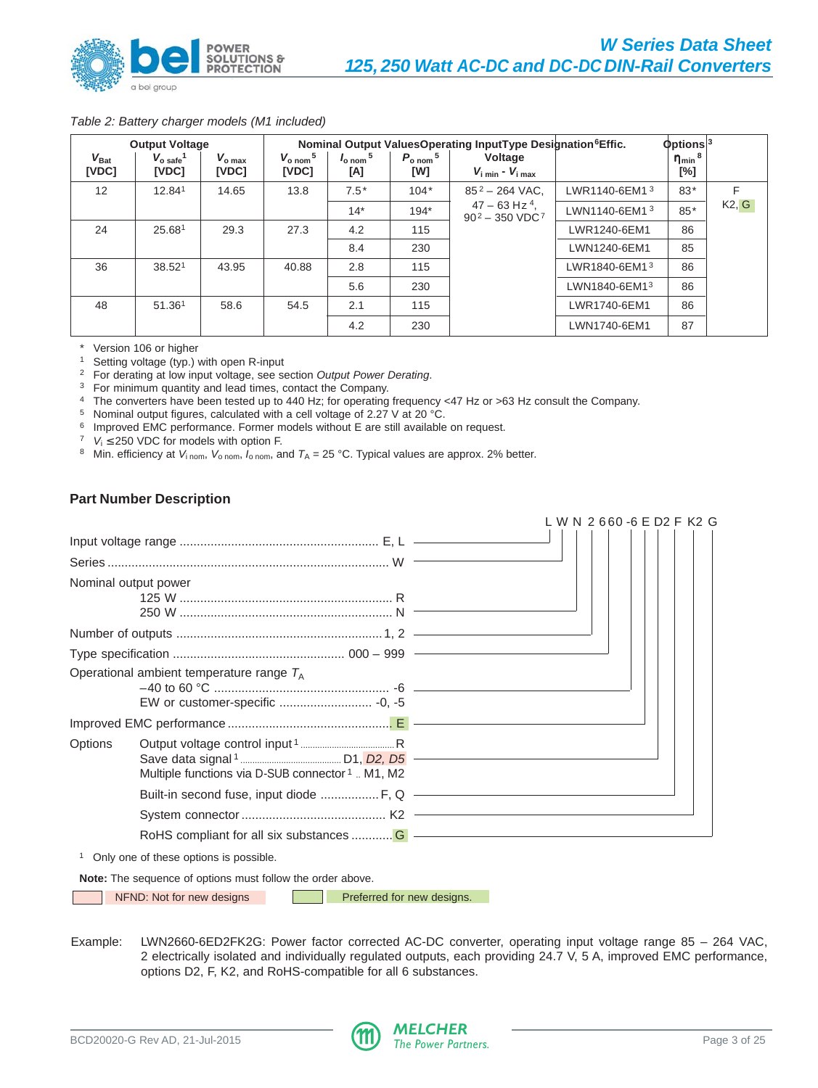

#### Table 2: Battery charger models (M1 included)

|                             | <b>Output Voltage</b>               |                          |                                         |                                      | Nominal Output ValuesOperating InputType Designation <sup>6</sup> Effic. | $\Phi$ ptions <sup>3</sup>                                |                           |                                      |       |
|-----------------------------|-------------------------------------|--------------------------|-----------------------------------------|--------------------------------------|--------------------------------------------------------------------------|-----------------------------------------------------------|---------------------------|--------------------------------------|-------|
| $V_{\mathrm{Bat}}$<br>[VDC] | $V_{o\;safe}$ <sup>1</sup><br>[VDC] | $V_{\rm o max}$<br>[VDC] | $V_{\rm o\; nom}$ <sup>5</sup><br>[VDC] | $I_{\rm o\,nom}$ <sup>5</sup><br>[A] | $P_{\text{o nom}}$ <sup>5</sup><br>[W]                                   | Voltage<br>$V_{\text{i min}}$ - $V_{\text{i max}}$        |                           | $\eta$ <sub>min</sub> $^8$<br>$[\%]$ |       |
| 12                          | 12.841                              | 14.65                    | 13.8                                    | $7.5*$                               | $104*$                                                                   | $85^2 - 264$ VAC.                                         | LWR1140-6EM1 <sup>3</sup> | $83*$                                | F     |
|                             |                                     |                          |                                         | $14*$                                | $194*$                                                                   | $47 - 63$ Hz <sup>4</sup> .<br>$90^2 - 350 \text{ VDC}^7$ | LWN1140-6EM13             | $85*$                                | K2, G |
| 24                          | 25.681                              | 29.3                     | 27.3                                    | 4.2                                  | 115                                                                      |                                                           | LWR1240-6EM1              | 86                                   |       |
|                             |                                     |                          |                                         | 8.4                                  | 230                                                                      |                                                           | LWN1240-6EM1              | 85                                   |       |
| 36                          | 38.521                              | 43.95                    | 40.88                                   | 2.8                                  | 115                                                                      |                                                           | LWR1840-6EM1 <sup>3</sup> | 86                                   |       |
|                             |                                     |                          |                                         | 5.6                                  | 230                                                                      |                                                           | LWN1840-6EM13             | 86                                   |       |
| 48                          | 51.36 <sup>1</sup>                  | 58.6                     | 54.5                                    | 2.1                                  | 115                                                                      |                                                           | LWR1740-6EM1              | 86                                   |       |
|                             |                                     |                          |                                         | 4.2                                  | 230                                                                      |                                                           | LWN1740-6EM1              | 87                                   |       |

Version 106 or higher

<sup>1</sup> Setting voltage (typ.) with open R-input

<sup>2</sup> For derating at low input voltage, see section Output Power Derating.

<sup>3</sup> For minimum quantity and lead times, contact the Company.

<sup>4</sup> The converters have been tested up to 440 Hz; for operating frequency <47 Hz or >63 Hz consult the Company.

<sup>5</sup> Nominal output figures, calculated with a cell voltage of 2.27 V at 20 °C.

<sup>6</sup> Improved EMC performance. Former models without E are still available on request.

<sup>7</sup>  $V_i \le 250$  VDC for models with option F.

<sup>8</sup> Min. efficiency at  $V_{i\text{ nom}}, V_{o\text{ nom}}, I_{o\text{ nom}},$  and  $T_A = 25 \text{ °C}$ . Typical values are approx. 2% better.

# **Part Number Description**



<sup>1</sup> Only one of these options is possible.

**Note:** The sequence of options must follow the order above.

NFND: Not for new designs **Preferred for new designs.** 

Example: LWN2660-6ED2FK2G: Power factor corrected AC-DC converter, operating input voltage range 85 – 264 VAC, 2 electrically isolated and individually regulated outputs, each providing 24.7 V, 5 A, improved EMC performance, options D2, F, K2, and RoHS-compatible for all 6 substances.

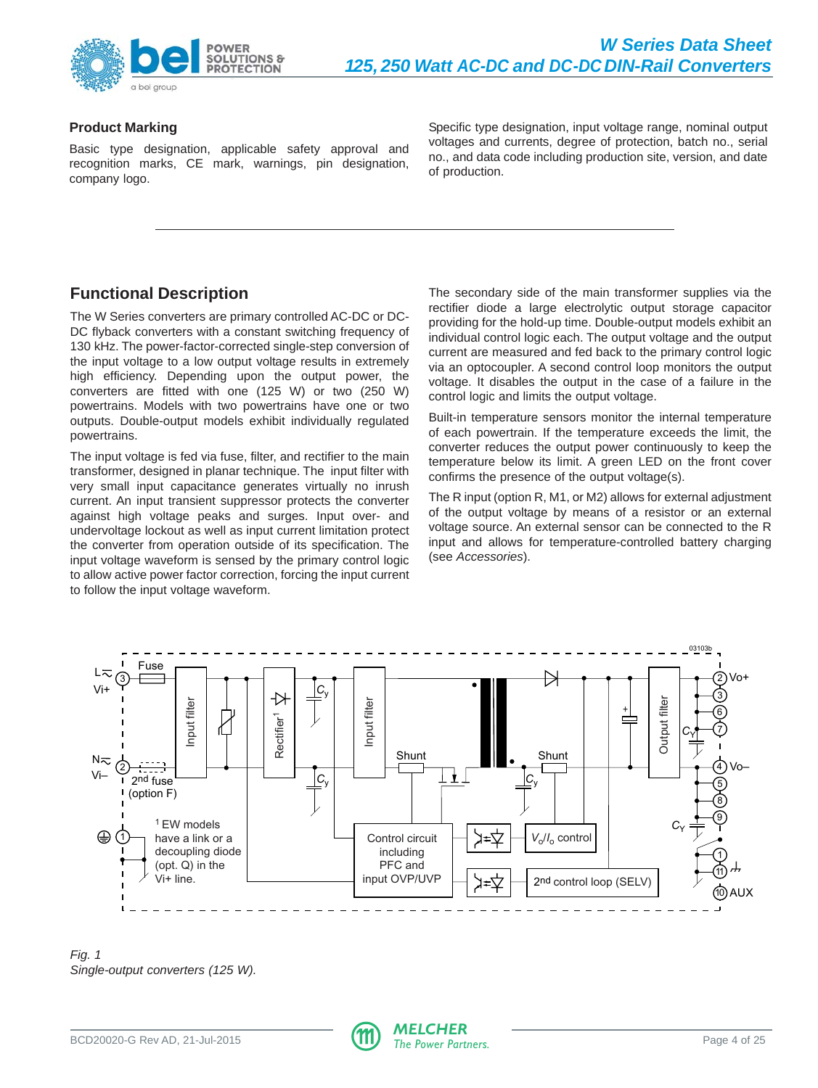<span id="page-3-0"></span>

# **Product Marking**

Basic type designation, applicable safety approval and recognition marks, CE mark, warnings, pin designation, company logo.

Specific type designation, input voltage range, nominal output voltages and currents, degree of protection, batch no., serial no., and data code including production site, version, and date of production.

# **Functional Description**

The W Series converters are primary controlled AC-DC or DC-DC flyback converters with a constant switching frequency of 130 kHz. The power-factor-corrected single-step conversion of the input voltage to a low output voltage results in extremely high efficiency. Depending upon the output power, the converters are fitted with one (125 W) or two (250 W) powertrains. Models with two powertrains have one or two outputs. Double-output models exhibit individually regulated powertrains.

The input voltage is fed via fuse, filter, and rectifier to the main transformer, designed in planar technique. The input filter with very small input capacitance generates virtually no inrush current. An input transient suppressor protects the converter against high voltage peaks and surges. Input over- and undervoltage lockout as well as input current limitation protect the converter from operation outside of its specification. The input voltage waveform is sensed by the primary control logic to allow active power factor correction, forcing the input current to follow the input voltage waveform.

The secondary side of the main transformer supplies via the rectifier diode a large electrolytic output storage capacitor providing for the hold-up time. Double-output models exhibit an individual control logic each. The output voltage and the output current are measured and fed back to the primary control logic via an optocoupler. A second control loop monitors the output voltage. It disables the output in the case of a failure in the control logic and limits the output voltage.

Built-in temperature sensors monitor the internal temperature of each powertrain. If the temperature exceeds the limit, the converter reduces the output power continuously to keep the temperature below its limit. A green LED on the front cover confirms the presence of the output voltage(s).

The R input (option R, M1, or M2) allows for external adjustment of the output voltage by means of a resistor or an external voltage source. An external sensor can be connected to the R input and allows for temperature-controlled battery charging (see Accessories).



Fig. 1 Single-output converters (125 W).

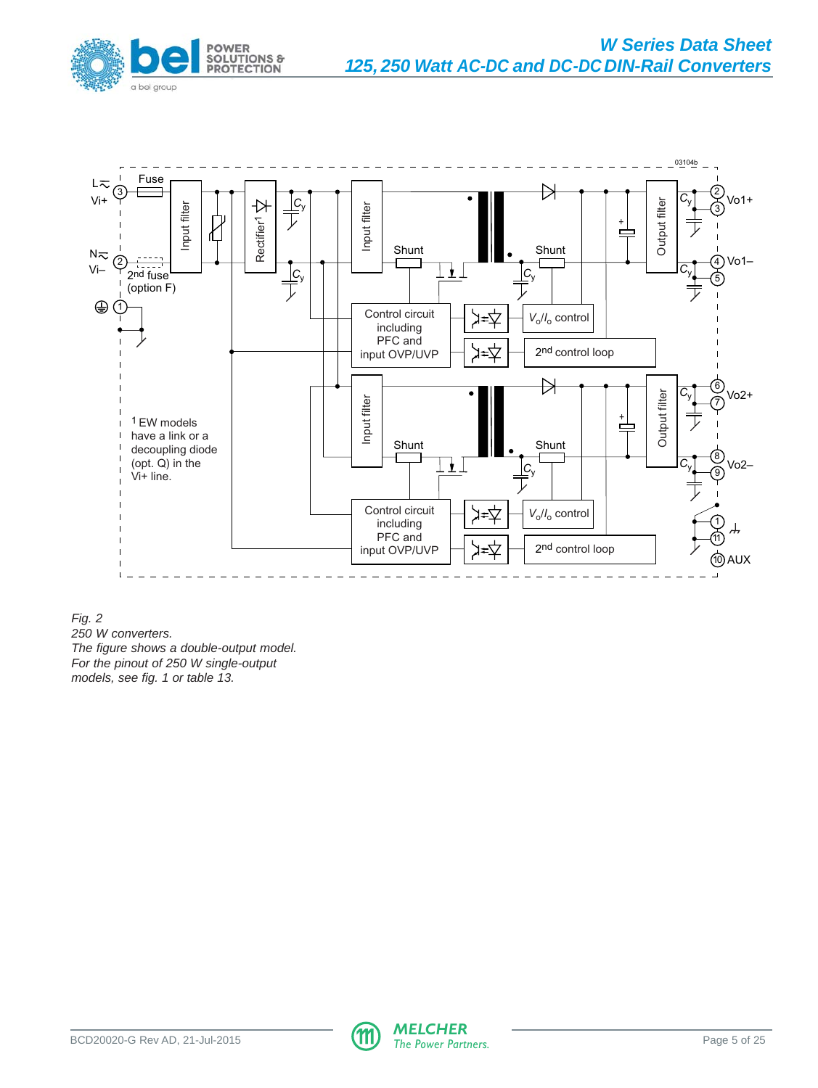



Fig. 2

250 W converters. The figure shows a double-output model. For the pinout of 250 W single-output

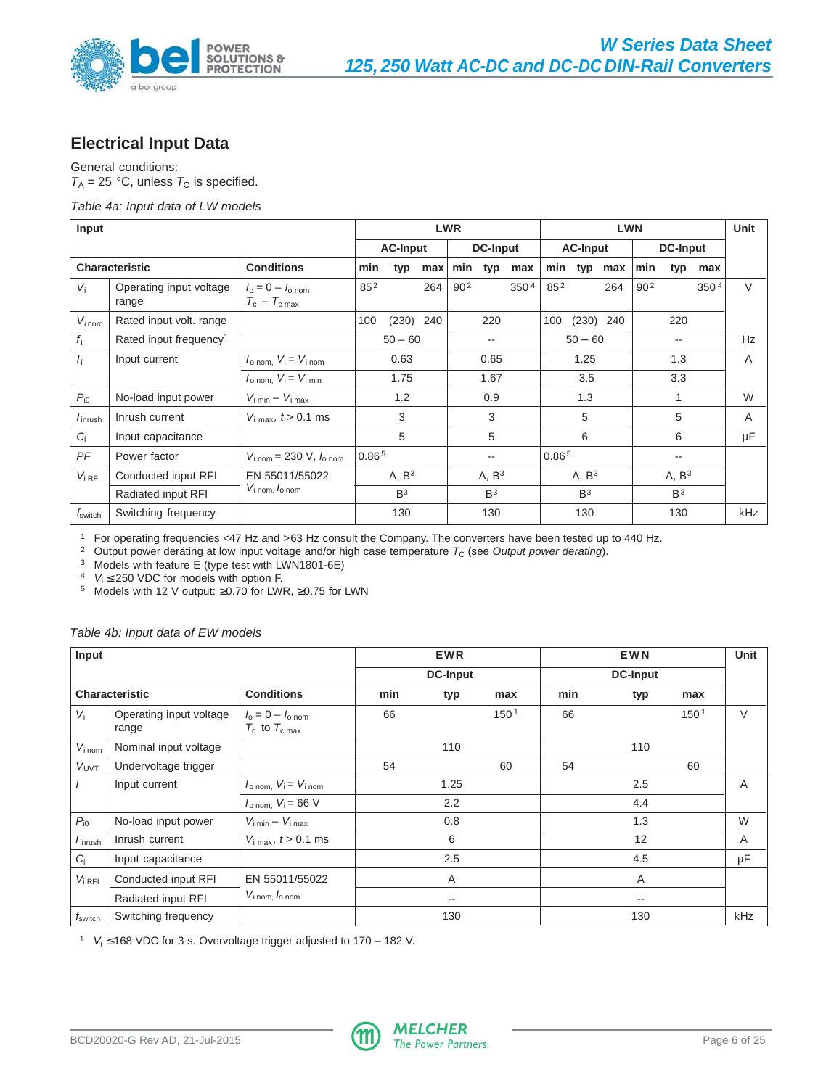<span id="page-5-0"></span>

# **Electrical Input Data**

General conditions:  $T_A = 25$  °C, unless  $T_C$  is specified.

#### Table 4a: Input data of LW models

| Input                 |                                    |                                                             |                   |                   |      | <b>LWR</b>      |                   |                  |          | Unit              |     |                 |                   |                  |              |
|-----------------------|------------------------------------|-------------------------------------------------------------|-------------------|-------------------|------|-----------------|-------------------|------------------|----------|-------------------|-----|-----------------|-------------------|------------------|--------------|
|                       |                                    |                                                             | <b>AC-Input</b>   |                   |      | <b>DC-Input</b> |                   |                  |          | <b>AC-Input</b>   |     |                 | <b>DC-Input</b>   |                  |              |
| <b>Characteristic</b> |                                    | <b>Conditions</b>                                           | min               | typ               | max  | min             | typ               | max              |          | min typ           | max | min             | typ               | max              |              |
| $V_i$                 | Operating input voltage<br>range   | $I_0 = 0 - I_{0}$ nom<br>$T_c - T_{c max}$                  | $85^{2}$          |                   | 264  | 90 <sup>2</sup> |                   | 350 <sup>4</sup> | $85^{2}$ |                   | 264 | 90 <sup>2</sup> |                   | 350 <sup>4</sup> | $\vee$       |
| $V_{i \text{ nom}}$   | Rated input volt. range            |                                                             | 100               | $(230)$ 240       |      |                 | 220               |                  | 100      | $(230)$ 240       |     |                 | 220               |                  |              |
| $f_i$                 | Rated input frequency <sup>1</sup> |                                                             |                   | $50 - 60$         |      |                 | --                |                  |          | $50 - 60$         |     |                 | --                |                  | Hz           |
| $I_{\rm i}$           | Input current                      | $I_{\text{o nom.}}$ $V_i = V_{i \text{ nom.}}$              | 0.63              |                   |      | 0.65            |                   |                  | 1.25     |                   |     | 1.3             |                   |                  | A            |
|                       |                                    | $I_{\text{o nom}}$ , $V_i = V_{i \text{ min}}$              | 1.75              |                   | 1.67 |                 | 3.5               |                  |          | 3.3               |     |                 |                   |                  |              |
| $P_{i0}$              | No-load input power                | $V_{\text{i min}} - V_{\text{i max}}$                       |                   | 1.2               |      |                 | 0.9               |                  |          | 1.3               |     |                 |                   |                  | W            |
| $I_{\text{inrust}}$   | Inrush current                     | $V_{\text{i max}}$ , $t > 0.1$ ms                           |                   | 3                 |      |                 | 3                 |                  |          | 5                 |     |                 | 5                 |                  | $\mathsf{A}$ |
| C.                    | Input capacitance                  |                                                             |                   | 5                 |      |                 | 5                 |                  |          | 6                 |     |                 | 6                 |                  | μF           |
| PF                    | Power factor                       | $V_{1\,\text{nom}} = 230 \, \text{V}$ , $I_{0\,\text{nom}}$ | 0.86 <sup>5</sup> |                   |      |                 | $- -$             |                  | 0.865    |                   |     |                 | --                |                  |              |
| $V_{i RFI}$           | Conducted input RFI                | EN 55011/55022                                              |                   | A, B <sup>3</sup> |      |                 | A, B <sup>3</sup> |                  |          | A, B <sup>3</sup> |     |                 | A, B <sup>3</sup> |                  |              |
|                       | Radiated input RFI                 | $V_{i \text{ nom}, l_{o \text{ nom}}}$                      |                   | B <sup>3</sup>    |      |                 | B <sup>3</sup>    |                  |          | B <sup>3</sup>    |     |                 | B <sup>3</sup>    |                  |              |
| $f_{\mathsf{switch}}$ | Switching frequency                |                                                             |                   | 130               |      |                 | 130               |                  |          | 130               |     |                 | 130               |                  | <b>kHz</b>   |

<sup>1</sup> For operating frequencies <47 Hz and >63 Hz consult the Company. The converters have been tested up to 440 Hz.

<sup>2</sup> Output power derating at low input voltage and/or high case temperature  $T_c$  (see Output power derating).

<sup>3</sup> Models with feature E (type test with LWN1801-6E)

 $4$  V<sub>i</sub>  $\leq$  250 VDC for models with option F.

<sup>5</sup> Models with 12 V output: ≥0.70 for LWR, ≥0.75 for LWN

#### Table 4b: Input data of EW models

| Input                      |                                  |                                                       |     | <b>EWR</b>               |                  |     |     | Unit             |                |
|----------------------------|----------------------------------|-------------------------------------------------------|-----|--------------------------|------------------|-----|-----|------------------|----------------|
|                            |                                  |                                                       |     | <b>DC-Input</b>          |                  |     |     |                  |                |
|                            | <b>Characteristic</b>            | <b>Conditions</b>                                     | min | typ                      | max              | min | typ | max              |                |
| $V_i$                      | Operating input voltage<br>range | $I_0 = 0 - I_{0 \text{ nom}}$<br>$T_c$ to $T_{c,max}$ | 66  |                          | 150 <sup>1</sup> | 66  |     | 150 <sup>1</sup> | V              |
| $V_{i \text{ nom}}$        | Nominal input voltage            |                                                       |     | 110                      |                  |     | 110 |                  |                |
| $V_{UVT}$                  | Undervoltage trigger             |                                                       | 54  |                          | 60               | 54  |     | 60               |                |
| $I_{\rm i}$                | Input current                    | $I_{\text{o nom.}}$ $V_i = V_{\text{inom}}$           |     | 1.25                     |                  |     | 2.5 |                  | A              |
|                            |                                  | $I_{\text{o nom}}$ , $V_i = 66$ V                     |     | 2.2                      |                  |     | 4.4 |                  |                |
| $P_{i0}$                   | No-load input power              | $V_{i \text{ min}} - V_{i \text{ max}}$               |     | 0.8                      |                  |     | 1.3 |                  | W              |
| <i>I</i> <sub>inrush</sub> | Inrush current                   | $V_{\text{i max}}$ , $t > 0.1$ ms                     |     | 6                        |                  |     | 12  |                  | $\overline{A}$ |
| G                          | Input capacitance                |                                                       |     | 2.5                      |                  |     | 4.5 |                  | μF             |
| $V_{i RFI}$                | Conducted input RFI              | EN 55011/55022                                        |     | A                        |                  |     | A   |                  |                |
|                            | Radiated input RFI               | $V_{\text{i nom,}}$ $I_{\text{o nom}}$                |     | $\overline{\phantom{m}}$ |                  |     | --  |                  |                |
| $f_{\mathsf{switch}}$      | Switching frequency              |                                                       |     | 130                      |                  |     | 130 |                  | kHz            |

<sup>1</sup> V<sup>i</sup> ≤ 168 VDC for 3 s. Overvoltage trigger adjusted to 170 – 182 V.

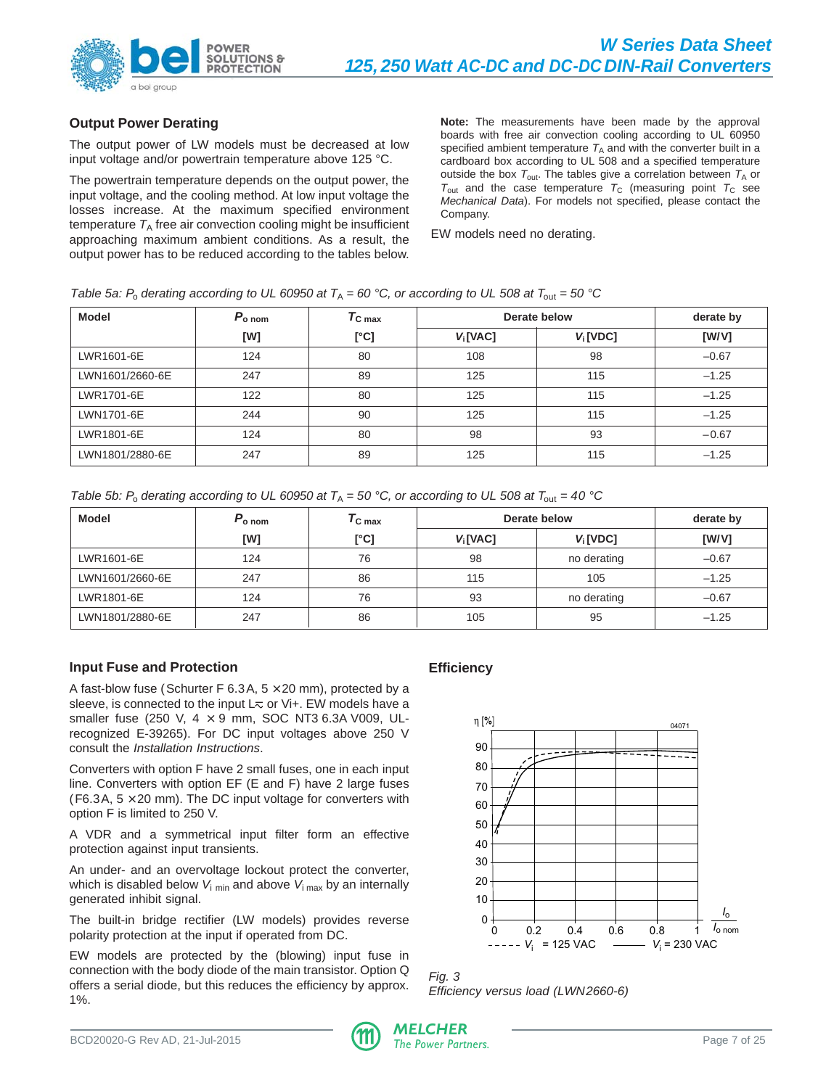

# **Output Power Derating**

The output power of LW models must be decreased at low input voltage and/or powertrain temperature above 125 °C.

The powertrain temperature depends on the output power, the input voltage, and the cooling method. At low input voltage the losses increase. At the maximum specified environment temperature  $T_A$  free air convection cooling might be insufficient approaching maximum ambient conditions. As a result, the output power has to be reduced according to the tables below.

**Note:** The measurements have been made by the approval boards with free air convection cooling according to UL 60950 specified ambient temperature  $T_A$  and with the converter built in a cardboard box according to UL 508 and a specified temperature outside the box  $T_{\text{out}}$ . The tables give a correlation between  $T_A$  or  $T_{\text{out}}$  and the case temperature  $T_{\text{C}}$  (measuring point  $T_{\text{C}}$  see Mechanical Data). For models not specified, please contact the Company.

EW models need no derating.

| <b>Model</b>    | $P_{\text{o nom}}$ | $T_{\rm C \, max}$ |                      | Derate below | derate by |
|-----------------|--------------------|--------------------|----------------------|--------------|-----------|
|                 | [W]                | [°C]               | V <sub>i</sub> [VAC] | $V_i$ [VDC]  | [W/V]     |
| LWR1601-6E      | 124                | 80                 | 108                  | 98           | $-0.67$   |
| LWN1601/2660-6E | 247                | 89                 | 125                  | 115          | $-1.25$   |
| LWR1701-6E      | 122                | 80                 | 125                  | 115          | $-1.25$   |
| LWN1701-6E      | 244                | 90                 | 125                  | 115          | $-1.25$   |
| LWR1801-6E      | 124                | 80                 | 98                   | 93           | $-0.67$   |
| LWN1801/2880-6E | 247                | 89                 | 125                  | 115          | $-1.25$   |

| Table 5b: P <sub>o</sub> derating according to UL 60950 at $T_A = 50$ °C, or according to UL 508 at $T_{\text{out}} = 40$ °C |  |
|------------------------------------------------------------------------------------------------------------------------------|--|
|                                                                                                                              |  |

| Model           | $P_{\rm o \; nom}$ | $T_{\mathsf{C} \, \mathsf{max}}$ |                      | Derate below | derate by |
|-----------------|--------------------|----------------------------------|----------------------|--------------|-----------|
|                 | [W]                | [°C]                             | V <sub>i</sub> [VAC] | $V_i$ [VDC]  | [W/V]     |
| LWR1601-6E      | 124                | 76                               | 98                   | no derating  | $-0.67$   |
| LWN1601/2660-6E | 247                | 86                               | 115                  | 105          | $-1.25$   |
| LWR1801-6E      | 124                | 76                               | 93                   | no derating  | $-0.67$   |
| LWN1801/2880-6E | 247                | 86                               | 105                  | 95           | $-1.25$   |

# **Input Fuse and Protection**

A fast-blow fuse (Schurter F 6.3A,  $5 \times 20$  mm), protected by a sleeve, is connected to the input  $L\bar{\sim}$  or Vi+. EW models have a smaller fuse (250 V,  $4 \times 9$  mm, SOC NT3 6.3A V009, ULrecognized E-39265). For DC input voltages above 250 V consult the Installation Instructions.

Converters with option F have 2 small fuses, one in each input line. Converters with option EF (E and F) have 2 large fuses (F6.3A,  $5 \times 20$  mm). The DC input voltage for converters with option F is limited to 250 V.

A VDR and a symmetrical input filter form an effective protection against input transients.

An under- and an overvoltage lockout protect the converter, which is disabled below  $V_{i \text{ min}}$  and above  $V_{i \text{ max}}$  by an internally generated inhibit signal.

The built-in bridge rectifier (LW models) provides reverse polarity protection at the input if operated from DC.

EW models are protected by the (blowing) input fuse in connection with the body diode of the main transistor. Option Q offers a serial diode, but this reduces the efficiency by approx. 1%.

# **Efficiency**



Fig. 3 Efficiency versus load (LWN2660-6)

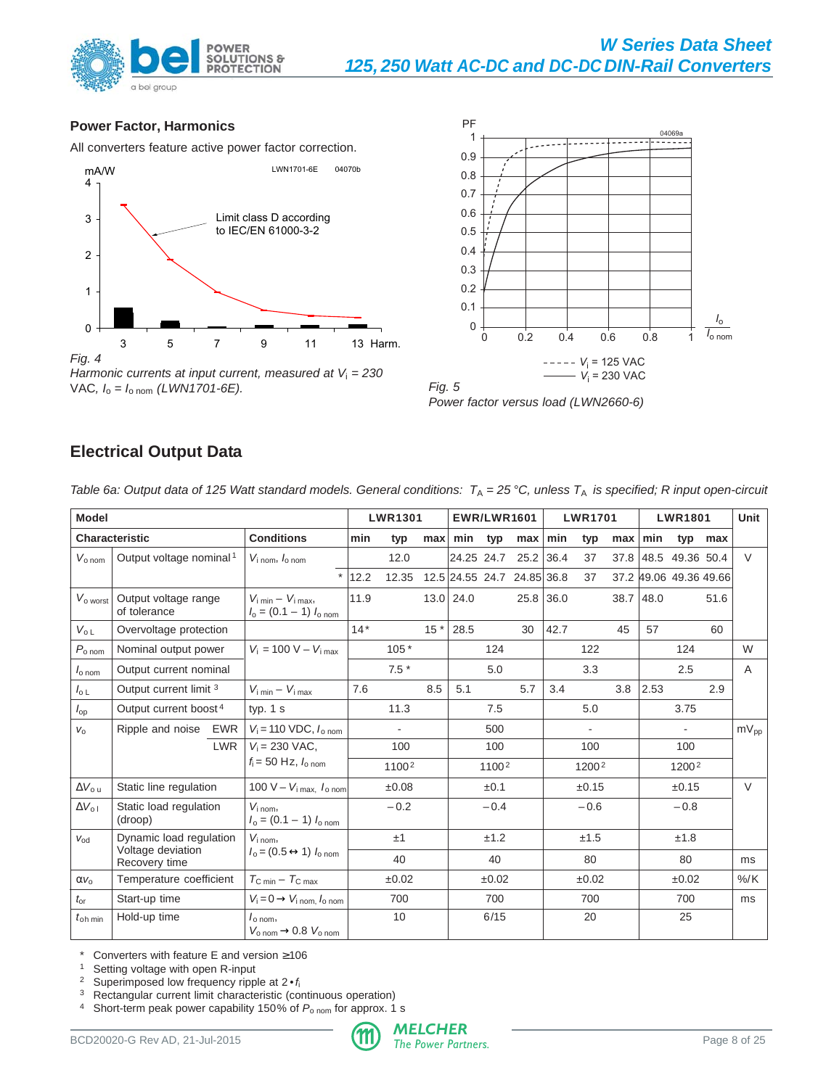<span id="page-7-0"></span>



**OLUTIONS &** 

**ECTION** 

PRO<sub>1</sub>



Power factor versus load (LWN2660-6)

# **Electrical Output Data**

Table 6a: Output data of 125 Watt standard models. General conditions:  $T_A = 25 °C$ , unless  $T_A$  is specified; R input open-circuit

| <b>Model</b>               |                                      |                                                                              |       | <b>LWR1301</b>    |       | <b>EWR/LWR1601</b>         |                   |                      |             | <b>LWR1701</b>    |     | <b>LWR1801</b> | Unit                   |         |              |
|----------------------------|--------------------------------------|------------------------------------------------------------------------------|-------|-------------------|-------|----------------------------|-------------------|----------------------|-------------|-------------------|-----|----------------|------------------------|---------|--------------|
|                            | <b>Characteristic</b>                | <b>Conditions</b>                                                            | min   | typ               | max   | min                        | typ               | $max$ min            |             | typ               | max | min            |                        | typ max |              |
| $V_{\text{o} \text{ nom}}$ | Output voltage nominal <sup>1</sup>  | $V_{i \text{ nom}}$ , $I_{o \text{ nom}}$                                    |       | 12.0              |       |                            |                   | 24.25 24.7 25.2 36.4 |             | 37                |     |                | 37.8 48.5 49.36 50.4   |         | $\vee$       |
|                            |                                      |                                                                              | 12.2  | 12.35             |       | 12.5 24.55 24.7 24.85 36.8 |                   |                      |             | 37                |     |                | 37.2 49.06 49.36 49.66 |         |              |
| $V_{\rm o\,worst}$         | Output voltage range<br>of tolerance | $V_{\text{i min}} - V_{\text{i max}}$<br>$I_0 = (0.1 - 1) I_{0 \text{ nom}}$ | 11.9  |                   |       | $13.0$ 24.0                |                   |                      | $25.8$ 36.0 |                   |     | 38.7 48.0      |                        | 51.6    |              |
| $V_{o L}$                  | Overvoltage protection               |                                                                              | $14*$ |                   | $15*$ | 28.5                       |                   | 30                   | 42.7        |                   | 45  | 57             |                        | 60      |              |
| $P_{\text{o} \text{ nom}}$ | Nominal output power                 | $V_i = 100 V - V_{i max}$                                                    |       | $105*$            |       |                            | 124               |                      |             | 122               |     |                | 124                    |         | W            |
| $I_{\rm o\,nom}$           | Output current nominal               |                                                                              |       | $7.5*$            |       |                            | 5.0               |                      |             | 3.3               |     |                | 2.5                    |         | $\mathsf{A}$ |
| $I_{\circ L}$              | Output current limit 3               | $V_{\text{i min}} - V_{\text{i max}}$                                        | 7.6   |                   | 8.5   | 5.1                        |                   | 5.7                  | 3.4         |                   | 3.8 | 2.53           |                        | 2.9     |              |
| $I_{\text{op}}$            | Output current boost <sup>4</sup>    | typ. $1 s$                                                                   |       | 11.3              |       |                            | 7.5               |                      |             | 5.0               |     |                | 3.75                   |         |              |
| $V_{\Omega}$               | Ripple and noise EWR                 | $V_i = 110 \text{ VDC}, I_{o \text{ nom}}$                                   |       | $\blacksquare$    |       |                            | 500               |                      |             | $\blacksquare$    |     |                | $\blacksquare$         |         | $mV_{pp}$    |
|                            | <b>LWR</b>                           | $V_i = 230$ VAC,                                                             |       | 100               |       |                            | 100               |                      |             | 100               |     |                | 100                    |         |              |
|                            |                                      | $f_i = 50$ Hz, $I_{0.000}$                                                   |       | 1100 <sup>2</sup> |       |                            | 1100 <sup>2</sup> |                      |             | 1200 <sup>2</sup> |     |                | 1200 <sup>2</sup>      |         |              |
| $\Delta V_{\rm out}$       | Static line regulation               | 100 V - $V_{i \text{ max}}$ , $I_{o \text{ nom}}$                            |       | ±0.08             |       |                            | ±0.1              |                      |             | ±0.15             |     |                | ±0.15                  |         | $\vee$       |
| $\Delta V_{\Omega}$        | Static load regulation<br>(droop)    | $V_{i\text{ nom}}$<br>$I_0 = (0.1 - 1) I_{0 \text{ nom}}$                    |       | $-0.2$            |       |                            | $-0.4$            |                      |             | $-0.6$            |     |                | $-0.8$                 |         |              |
| $V_{\text{Od}}$            | Dynamic load regulation              | $V_{i\,nom}$                                                                 |       | ±1                |       |                            | ±1.2              |                      |             | ±1.5              |     |                | ±1.8                   |         |              |
|                            | Voltage deviation<br>Recovery time   | $I_0 = (0.5 \leftrightarrow 1) I_{0 \text{ nom}}$                            |       | 40                |       |                            | 40                |                      |             | 80                |     |                | 80                     |         | ms           |
| $\alpha v_0$               | Temperature coefficient              | $T_{\rm C,min} - T_{\rm C,max}$                                              |       | ±0.02             |       |                            | ±0.02             |                      |             | ±0.02             |     |                | ±0.02                  |         | $%$ /K       |
| $t_{\rm or}$               | Start-up time                        | $V_i = 0 \rightarrow V_i$ nom, $I_0$ nom                                     |       | 700               |       |                            | 700               |                      |             | 700               |     |                | 700                    |         | ms           |
| $t_{\rm oh, min}$          | Hold-up time                         | $I_{\text{o nom}}$<br>$V_{\text{o nom}} \rightarrow 0.8 V_{\text{o nom}}$    |       | 10                |       |                            | 6/15              |                      |             | 20                |     |                | 25                     |         |              |

\* Converters with feature E and version  $\geq 106$ <br>1. Setting voltage with open R-input

<sup>1</sup> Setting voltage with open R-input<br><sup>2</sup> Superimposed low frequency rinn

<sup>2</sup> Superimposed low frequency ripple at  $2 \cdot f_i$ <br><sup>3</sup> Rectangular current limit characteristic (com

Rectangular current limit characteristic (continuous operation)

<sup>4</sup> Short-term peak power capability 150% of  $P_{\text{o nom}}$  for approx. 1 s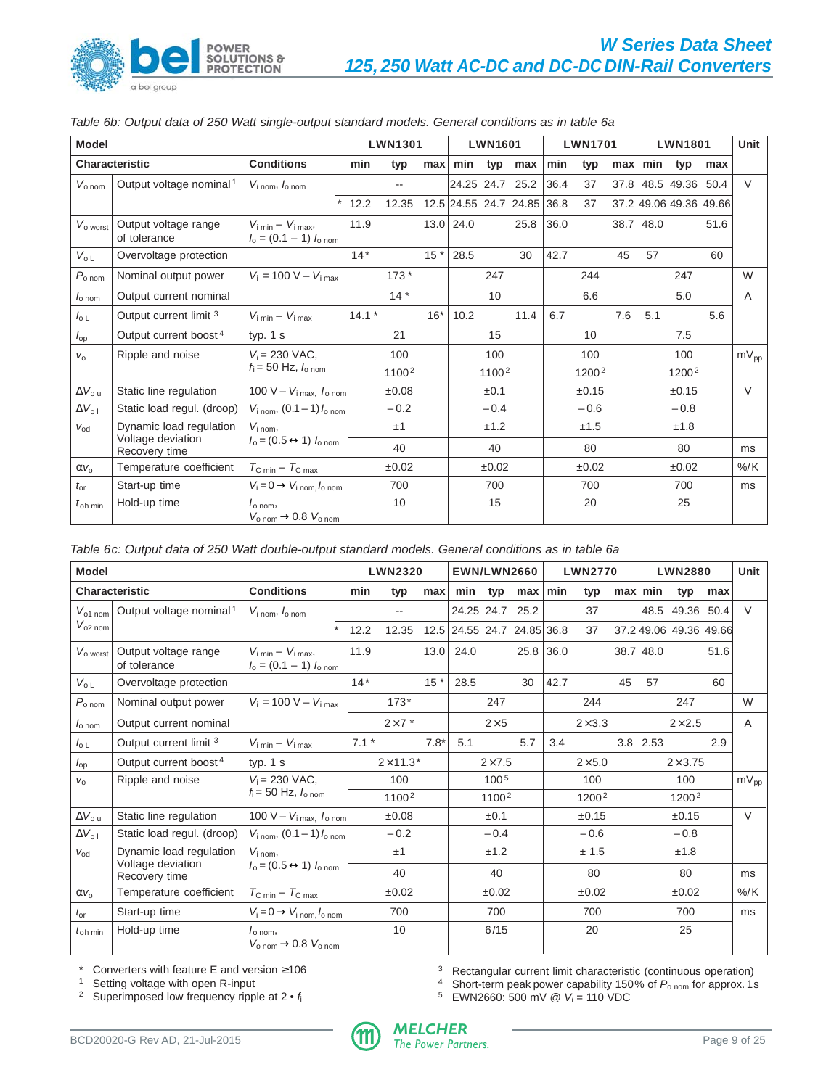

| <b>Model</b>               |                                      |                                                                              |         | <b>LWN1301</b>           |       |             | <b>LWN1601</b> |                            |      | <b>LWN1701</b> |      |      | <b>LWN1801</b>         |      | Unit             |
|----------------------------|--------------------------------------|------------------------------------------------------------------------------|---------|--------------------------|-------|-------------|----------------|----------------------------|------|----------------|------|------|------------------------|------|------------------|
|                            | <b>Characteristic</b>                | <b>Conditions</b>                                                            | min     | typ                      | max   | min         | typ            | max                        | min  | typ            | max  | min  | typ                    | max  |                  |
| $V_{\text{o nom}}$         | Output voltage nominal <sup>1</sup>  | $V_{\text{i nom}}$ , $I_{\text{o nom}}$                                      |         | $\overline{\phantom{a}}$ |       |             |                | 24.25 24.7 25.2            | 36.4 | 37             | 37.8 |      | 48.5 49.36             | 50.4 | $\vee$           |
|                            |                                      | $\star$                                                                      | 12.2    | 12.35                    |       |             |                | 12.5 24.55 24.7 24.85 36.8 |      | 37             |      |      | 37.2 49.06 49.36 49.66 |      |                  |
| $V_{o\text{ worst}}$       | Output voltage range<br>of tolerance | $V_{\text{i min}} - V_{\text{i max}}$<br>$I_0 = (0.1 - 1) I_{0 \text{ nom}}$ | 11.9    |                          |       | $13.0$ 24.0 |                | 25.8                       | 36.0 |                | 38.7 | 48.0 |                        | 51.6 |                  |
| $V_{o L}$                  | Overvoltage protection               |                                                                              | $14*$   |                          | $15*$ | 28.5        |                | 30                         | 42.7 |                | 45   | 57   |                        | 60   |                  |
| $P_{\text{o} \text{ nom}}$ | Nominal output power                 | $V_i = 100 V - V_i_{max}$                                                    |         | $173*$                   |       |             | 247            |                            |      | 244            |      |      | 247                    |      | W                |
| $I_{\text{o} \text{ nom}}$ | Output current nominal               |                                                                              |         | $14*$                    |       |             | 10             |                            |      | 6.6            |      |      | 5.0                    |      | $\mathsf{A}$     |
| $I_{\circ L}$              | Output current limit 3               | $V_{\text{i min}} - V_{\text{i max}}$                                        | $14.1*$ |                          | $16*$ | 10.2        |                | 11.4                       | 6.7  |                | 7.6  | 5.1  |                        | 5.6  |                  |
| $I_{op}$                   | Output current boost <sup>4</sup>    | typ. $1 s$                                                                   |         | 21                       |       |             | 15             |                            |      | 10             |      |      | 7.5                    |      |                  |
| $V_{\Omega}$               | Ripple and noise                     | $V_i = 230$ VAC,                                                             |         | 100                      |       |             | 100            |                            |      | 100            |      |      | 100                    |      | $mV_{\text{DD}}$ |
|                            |                                      | $f_i = 50$ Hz, $I_{0.000}$                                                   |         | 1100 <sup>2</sup>        |       |             | 11002          |                            |      | 12002          |      |      | 1200 <sup>2</sup>      |      |                  |
| $\Delta V_{o u}$           | Static line regulation               | 100 V - $V_i$ max, $I_0$ nom                                                 |         | ±0.08                    |       |             | ±0.1           |                            |      | ±0.15          |      |      | ±0.15                  |      | $\vee$           |
| $\Delta V_{o}$             | Static load regul. (droop)           | $V_{\rm i\, nom}$ , (0.1 – 1) $I_{\rm o\, nom}$                              |         | $-0.2$                   |       |             | $-0.4$         |                            |      | $-0.6$         |      |      | $-0.8$                 |      |                  |
| $V_{\text{od}}$            | Dynamic load regulation              | $V_{i\,nom}$                                                                 |         | ±1                       |       |             | ±1.2           |                            |      | ±1.5           |      |      | ±1.8                   |      |                  |
|                            | Voltage deviation<br>Recovery time   | $I_0 = (0.5 \leftrightarrow 1) I_{\text{o nom}}$                             |         | 40                       |       |             | 40             |                            |      | 80             |      |      | 80                     |      | ms               |
| $\alpha v_0$               | Temperature coefficient              | $T_{\rm C,min} - T_{\rm C,max}$                                              |         | ±0.02                    |       |             | ±0.02          |                            |      | ±0.02          |      |      | ±0.02                  |      | $%$ /K           |
| $t_{\rm or}$               | Start-up time                        | $V_i = 0 \rightarrow V_i$ nom. $I_0$ nom                                     |         | 700                      |       |             | 700            |                            |      | 700            |      |      | 700                    |      | ms               |
| $t_{\rm oh, min}$          | Hold-up time                         | $I_{\text{o nom}}$<br>$V_{\text{o nom}} \rightarrow 0.8 V_{\text{o nom}}$    |         | 10                       |       |             | 15             |                            |      | 20             |      |      | 25                     |      |                  |

Table 6b: Output data of 250 Watt single-output standard models. General conditions as in table 6a

| <b>Model</b>               |                                      |                                                                              |        | <b>LWN2320</b>    |        | <b>EWN/LWN2660</b>         |                   |                 |      | <b>LWN2770</b>    |    |            | <b>LWN2880</b>         |      | Unit             |
|----------------------------|--------------------------------------|------------------------------------------------------------------------------|--------|-------------------|--------|----------------------------|-------------------|-----------------|------|-------------------|----|------------|------------------------|------|------------------|
|                            | <b>Characteristic</b>                | <b>Conditions</b>                                                            | min    | typ               | max    | min typ                    |                   | max             | min  | typ               |    | max min    | typ                    | max  |                  |
| $V_{01}$ nom               | Output voltage nominal <sup>1</sup>  | $V_{\text{i nom}}$ , $I_{\text{o nom}}$                                      |        | $\overline{a}$    |        |                            |                   | 24.25 24.7 25.2 |      | 37                |    |            | 48.5 49.36 50.4        |      | $\vee$           |
| $V_{o2 \text{ nom}}$       |                                      | $\star$                                                                      | 12.2   | 12.35             |        | 12.5 24.55 24.7 24.85 36.8 |                   |                 |      | 37                |    |            | 37.2 49.06 49.36 49.66 |      |                  |
| $V_{\rm o\,worst}$         | Output voltage range<br>of tolerance | $V_{\text{i min}} - V_{\text{i max}}$<br>$I_0 = (0.1 - 1) I_{0 \text{ nom}}$ | 11.9   |                   | 13.0   | 24.0                       |                   | $25.8$ 36.0     |      |                   |    | 38.7 48.0  |                        | 51.6 |                  |
| $V_{o L}$                  | Overvoltage protection               |                                                                              | $14*$  |                   | $15*$  | 28.5                       |                   | 30              | 42.7 |                   | 45 | 57         |                        | 60   |                  |
| $P_{\text{o nom}}$         | Nominal output power                 | $V_i = 100 V - V_{i max}$                                                    |        | $173*$            |        |                            | 247               |                 |      | 244               |    |            | 247                    |      | W                |
| $I_{\text{o} \text{ nom}}$ | Output current nominal               |                                                                              |        | $2\times7$ *      |        |                            | $2\times 5$       |                 |      | $2\times3.3$      |    |            | $2\times 2.5$          |      | $\mathsf{A}$     |
| $I_{\circ L}$              | Output current limit 3               | $V_{\text{i min}} - V_{\text{i max}}$                                        | $7.1*$ |                   | $7.8*$ | 5.1                        |                   | 5.7             | 3.4  |                   |    | $3.8$ 2.53 |                        | 2.9  |                  |
| $I_{op}$                   | Output current boost <sup>4</sup>    | typ. $1 s$                                                                   |        | $2 \times 10.5^*$ |        |                            | $2\times 7.5$     |                 |      | $2\times5.0$      |    |            | $2\times3.75$          |      |                  |
| $V_{\Omega}$               | Ripple and noise                     | $V_i = 230 \text{ VAC},$                                                     |        | 100               |        |                            | 100 <sup>5</sup>  |                 |      | 100               |    |            | 100                    |      | $mV_{\text{op}}$ |
|                            |                                      | $f_i = 50$ Hz, $I_{0.000}$                                                   |        | 1100 <sup>2</sup> |        |                            | 1100 <sup>2</sup> |                 |      | 1200 <sup>2</sup> |    |            | 1200 <sup>2</sup>      |      |                  |
| $\Delta V_{\rm out}$       | Static line regulation               | 100 V – $V_{i \text{ max}}$ , $I_{o \text{ nom}}$                            |        | ±0.08             |        |                            | ±0.1              |                 |      | ±0.15             |    |            | ±0.15                  |      | $\vee$           |
| $\Delta V_{\Omega}$        | Static load regul. (droop)           | $V_{\rm i\, nom}$ , (0.1 – 1) $I_{\rm o\, nom}$                              |        | $-0.2$            |        |                            | $-0.4$            |                 |      | $-0.6$            |    |            | $-0.8$                 |      |                  |
| $V_{\text{od}}$            | Dynamic load regulation              | $V_{i\,nom}$                                                                 |        | ±1                |        |                            | ±1.2              |                 |      | ± 1.5             |    |            | ±1.8                   |      |                  |
|                            | Voltage deviation<br>Recovery time   | $I_0 = (0.5 \leftrightarrow 1) I_{0 \text{ nom}}$                            |        | 40                |        |                            | 40                |                 |      | 80                |    |            | 80                     |      | ms               |
| $\alpha v_0$               | Temperature coefficient              | $T_{\rm C,min} - T_{\rm C,max}$                                              |        | ±0.02             |        |                            | ±0.02             |                 |      | ±0.02             |    |            | ±0.02                  |      | $%$ /K           |
| $t_{\rm or}$               | Start-up time                        | $V_i = 0 \rightarrow V_i$ nom. $I_0$ nom                                     |        | 700               |        |                            | 700               |                 |      | 700               |    |            | 700                    |      | ms               |
| $t_{\rm oh, min}$          | Hold-up time                         | $I_{0.00m}$<br>$V_{\text{o nom}} \rightarrow 0.8 V_{\text{o nom}}$           |        | 10                |        |                            | 6/15              |                 |      | 20                |    |            | 25                     |      |                  |

\* Converters with feature E and version ≥106

<sup>1</sup> Setting voltage with open R-input

<sup>2</sup> Superimposed low frequency ripple at 2 • f

<sup>3</sup> Rectangular current limit characteristic (continuous operation)

<sup>4</sup> Short-term peak power capability 150% of  $P_{\text{o nom}}$  for approx. 1s

 $5$  EWN2660: 500 mV @  $V_1 = 110$  VDC

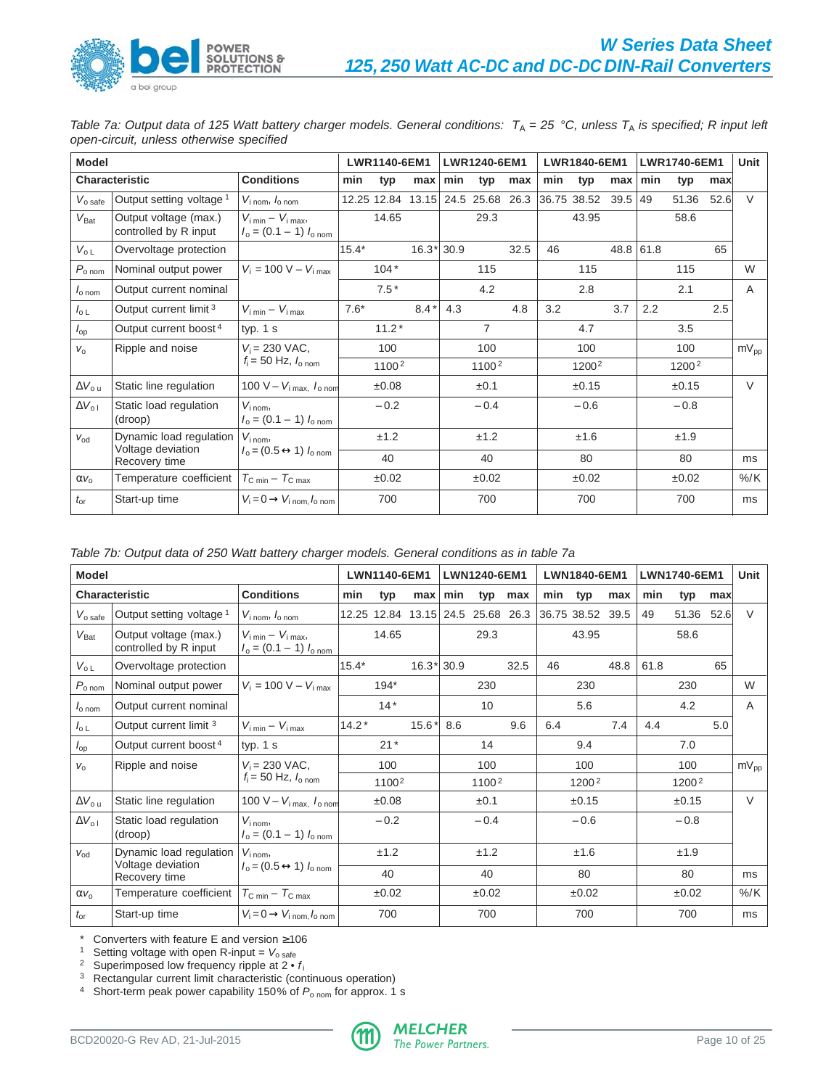Table 7a: Output data of 125 Watt battery charger models. General conditions:  $T_A = 25$  °C, unless  $T_A$  is specified; R input left open-circuit, unless otherwise specified

| <b>Model</b>               |                                                |                                                                              |         | LWR1140-6EM1      |              |     | LWR1240-6EM1          |      |     | LWR1840-6EM1      |           |           | LWR1740-6EM1      |      | Unit         |
|----------------------------|------------------------------------------------|------------------------------------------------------------------------------|---------|-------------------|--------------|-----|-----------------------|------|-----|-------------------|-----------|-----------|-------------------|------|--------------|
|                            | <b>Characteristic</b>                          | <b>Conditions</b>                                                            | min     | typ               | max          | min | typ                   | max  | min | typ               | max       | min       | typ               | max  |              |
| $V_{\rm o\,safe}$          | Output setting voltage <sup>1</sup>            | $V_{\text{i nom}}$ , $I_{\text{o nom}}$                                      |         | 12.25 12.84       |              |     | 13.15 24.5 25.68 26.3 |      |     | 36.75 38.52       | $39.5$ 49 |           | 51.36             | 52.6 | $\vee$       |
| $V_{\text{Bat}}$           | Output voltage (max.)<br>controlled by R input | $V_{\text{i min}} - V_{\text{i max}}$<br>$I_0 = (0.1 - 1) I_{0 \text{ nom}}$ |         | 14.65             |              |     | 29.3                  |      |     | 43.95             |           |           | 58.6              |      |              |
| $V_{o L}$                  | Overvoltage protection                         |                                                                              | $15.4*$ |                   | $16.3*$ 30.9 |     |                       | 32.5 | 46  |                   |           | 48.8 61.8 |                   | 65   |              |
| $P_{\text{o} \text{ nom}}$ | Nominal output power                           | $V_i = 100 V - V_{i max}$                                                    |         | $104*$            |              |     | 115                   |      |     | 115               |           |           | 115               |      | W            |
| $Io$ nom                   | Output current nominal                         |                                                                              |         | $7.5*$            |              |     | 4.2                   |      |     | 2.8               |           |           | 2.1               |      | $\mathsf{A}$ |
| $I_{\circ L}$              | Output current limit <sup>3</sup>              | $V_{\text{i min}} - V_{\text{i max}}$                                        | $7.6*$  |                   | $8.4*$       | 4.3 |                       | 4.8  | 3.2 |                   | 3.7       | 2.2       |                   | 2.5  |              |
| $I_{op}$                   | Output current boost <sup>4</sup>              | typ. $1 s$                                                                   |         | $11.2*$           |              |     | $\overline{7}$        |      |     | 4.7               |           |           | 3.5               |      |              |
| $V_{\Omega}$               | Ripple and noise                               | $V_i = 230$ VAC,                                                             |         | 100               |              |     | 100                   |      |     | 100               |           |           | 100               |      | $mV_{pp}$    |
|                            |                                                | $f_i = 50$ Hz, $I_{o \text{ nom}}$                                           |         | 1100 <sup>2</sup> |              |     | 1100 <sup>2</sup>     |      |     | 1200 <sup>2</sup> |           |           | 1200 <sup>2</sup> |      |              |
| $\Delta V_{\rm out}$       | Static line regulation                         | 100 V - $V_{i \text{ max}}$ , $I_{o \text{ nom}}$                            |         | ±0.08             |              |     | ±0.1                  |      |     | ±0.15             |           |           | ±0.15             |      | $\vee$       |
| $\Delta V_{\rm o}$         | Static load regulation<br>(droop)              | $V_{i \text{ nom}}$<br>$I_0 = (0.1 - 1) I_{0 \text{ nom}}$                   |         | $-0.2$            |              |     | $-0.4$                |      |     | $-0.6$            |           |           | $-0.8$            |      |              |
| $V_{\text{Od}}$            | Dynamic load regulation                        | $V_{i \text{ nom}}$                                                          |         | ±1.2              |              |     | ±1.2                  |      |     | ±1.6              |           |           | ±1.9              |      |              |
|                            | Voltage deviation<br>Recovery time             | $I_0 = (0.5 \leftrightarrow 1) I_{\text{o nom}}$                             |         | 40                |              |     | 40                    |      |     | 80                |           |           | 80                |      | ms           |
| $\alpha v_0$               | Temperature coefficient                        | $T_{\rm C,min} - T_{\rm C,max}$                                              |         | ±0.02             |              |     | ±0.02                 |      |     | ±0.02             |           |           | ±0.02             |      | $%$ /K       |
| $t_{\rm or}$               | Start-up time                                  | $V_i = 0 \rightarrow V_i$ nom, $I_0$ nom                                     |         | 700               |              |     | 700                   |      |     | 700               |           |           | 700               |      | ms           |

|  |  | Table 7b: Output data of 250 Watt battery charger models. General conditions as in table 7a |
|--|--|---------------------------------------------------------------------------------------------|
|--|--|---------------------------------------------------------------------------------------------|

| <b>Model</b>               |                                                |                                                                              |         | LWN1140-6EM1                      |              |     | LWN1240-6EM1 |      |     | LWN1840-6EM1     |      |      | LWN1740-6EM1 |      | Unit      |
|----------------------------|------------------------------------------------|------------------------------------------------------------------------------|---------|-----------------------------------|--------------|-----|--------------|------|-----|------------------|------|------|--------------|------|-----------|
|                            | <b>Characteristic</b>                          | <b>Conditions</b>                                                            | min     | typ                               | max          | min | typ          | max  | min | typ              | max  | min  | typ          | max  |           |
| $V_{\rm o\,safe}$          | Output setting voltage <sup>1</sup>            | $V_{\text{i nom}}$ , $I_{\text{o nom}}$                                      |         | 12.25 12.84 13.15 24.5 25.68 26.3 |              |     |              |      |     | 36.75 38.52 39.5 |      | 49   | 51.36        | 52.6 | $\vee$    |
| $V_{\text{Bat}}$           | Output voltage (max.)<br>controlled by R input | $V_{\text{i min}} - V_{\text{i max}}$<br>$I_0 = (0.1 - 1) I_{0 \text{ nom}}$ |         | 14.65                             |              |     | 29.3         |      |     | 43.95            |      |      | 58.6         |      |           |
| $V_{o L}$                  | Overvoltage protection                         |                                                                              | 15.4*   |                                   | $16.3*$ 30.9 |     |              | 32.5 | 46  |                  | 48.8 | 61.8 |              | 65   |           |
| $P_{\text{o nom}}$         | Nominal output power                           | $V_i = 100 V - V_{i max}$                                                    |         | $194*$                            |              |     | 230          |      |     | 230              |      |      | 230          |      | W         |
| $I_{\text{o} \text{ nom}}$ | Output current nominal                         |                                                                              |         | $14*$                             |              |     | 10           |      |     | 5.6              |      |      | 4.2          |      | A         |
| $I_{\circ L}$              | Output current limit 3                         | $V_{i \text{ min}} - V_{i \text{ max}}$                                      | $14.2*$ |                                   | $15.6*$      | 8.6 |              | 9.6  | 6.4 |                  | 7.4  | 4.4  |              | 5.0  |           |
| $I_{op}$                   | Output current boost <sup>4</sup>              | typ. $1 s$                                                                   |         | $21*$                             |              |     | 14           |      |     | 9.4              |      |      | 7.0          |      |           |
| $V_{\Omega}$               | Ripple and noise                               | $V_i = 230 \text{ VAC},$                                                     |         | 100                               |              |     | 100          |      |     | 100              |      |      | 100          |      | $mV_{pp}$ |
|                            |                                                | $f_i = 50$ Hz, $I_{o \text{ nom}}$                                           |         | 1100 <sup>2</sup>                 |              |     | 11002        |      |     | 12002            |      |      | 12002        |      |           |
| $\Delta V_{o u}$           | Static line regulation                         | 100 V - $V_i$ max, $I_0$ nom                                                 |         | $\pm 0.08$                        |              |     | ±0.1         |      |     | ±0.15            |      |      | ±0.15        |      | $\vee$    |
| $\Delta V_{\text{o}}$      | Static load regulation<br>(droop)              | $V_{i\,nom}$<br>$I_0 = (0.1 - 1) I_{0 \text{ nom}}$                          |         | $-0.2$                            |              |     | $-0.4$       |      |     | $-0.6$           |      |      | $-0.8$       |      |           |
| $V_{\text{od}}$            | Dynamic load regulation                        | $V_{i\text{ nom}}$                                                           |         | ±1.2                              |              |     | ±1.2         |      |     | ±1.6             |      |      | ±1.9         |      |           |
|                            | Voltage deviation<br>Recovery time             | $I_0 = (0.5 \leftrightarrow 1) I_{0 \text{ nom}}$                            |         | 40                                |              |     | 40           |      |     | 80               |      |      | 80           |      | ms        |
| $\alpha v_{o}$             | Temperature coefficient                        | $T_{\text{C min}} - T_{\text{C max}}$                                        |         | ±0.02                             |              |     | ±0.02        |      |     | ±0.02            |      |      | ±0.02        |      | $%$ /K    |
| $t_{\rm or}$               | Start-up time                                  | $V_i = 0 \rightarrow V_i$ nom, $I_0$ nom                                     |         | 700                               |              |     | 700          |      |     | 700              |      |      | 700          |      | ms        |

\* Converters with feature E and version ≥106

<sup>1</sup> Setting voltage with open R-input =  $V_{\text{o safe}}$ 

<sup>2</sup> Superimposed low frequency ripple at  $2 \cdot f_i$ 

<sup>3</sup> Rectangular current limit characteristic (continuous operation)

<sup>4</sup> Short-term peak power capability 150% of  $P_{\text{o nom}}$  for approx. 1 s

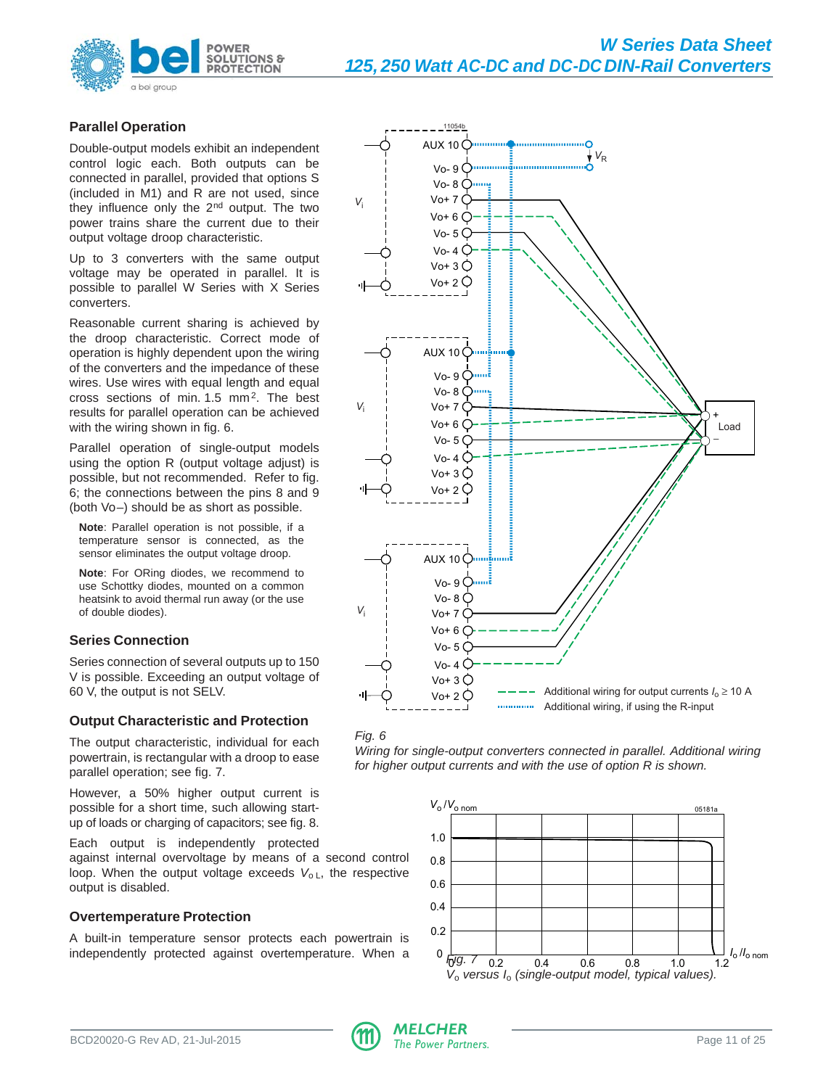

# **Parallel Operation**

Double-output models exhibit an independent control logic each. Both outputs can be connected in parallel, provided that options S (included in M1) and R are not used, since they influence only the 2nd output. The two power trains share the current due to their output voltage droop characteristic.

Up to 3 converters with the same output voltage may be operated in parallel. It is possible to parallel W Series with X Series converters.

Reasonable current sharing is achieved by the droop characteristic. Correct mode of operation is highly dependent upon the wiring of the converters and the impedance of these wires. Use wires with equal length and equal cross sections of min. 1.5 mm2. The best results for parallel operation can be achieved with the wiring shown in fig. 6.

Parallel operation of single-output models using the option R (output voltage adjust) is possible, but not recommended. Refer to fig. 6; the connections between the pins 8 and 9 (both Vo–) should be as short as possible.

**Note**: Parallel operation is not possible, if a temperature sensor is connected, as the sensor eliminates the output voltage droop.

**Note**: For ORing diodes, we recommend to use Schottky diodes, mounted on a common heatsink to avoid thermal run away (or the use of double diodes).

# **Series Connection**

Series connection of several outputs up to 150 V is possible. Exceeding an output voltage of 60 V, the output is not SELV.

# **Output Characteristic and Protection**

The output characteristic, individual for each powertrain, is rectangular with a droop to ease parallel operation; see fig. 7.

However, a 50% higher output current is possible for a short time, such allowing startup of loads or charging of capacitors; see fig. 8.

Each output is independently protected

against internal overvoltage by means of a second control loop. When the output voltage exceeds  $V_{o L}$ , the respective output is disabled.

# **Overtemperature Protection**

A built-in temperature sensor protects each powertrain is independently protected against overtemperature. When a  $\frac{1}{6}$   $\frac{1}{7}$   $\frac{1}{7}$ 



Wiring for single-output converters connected in parallel. Additional wiring for higher output currents and with the use of option R is shown.



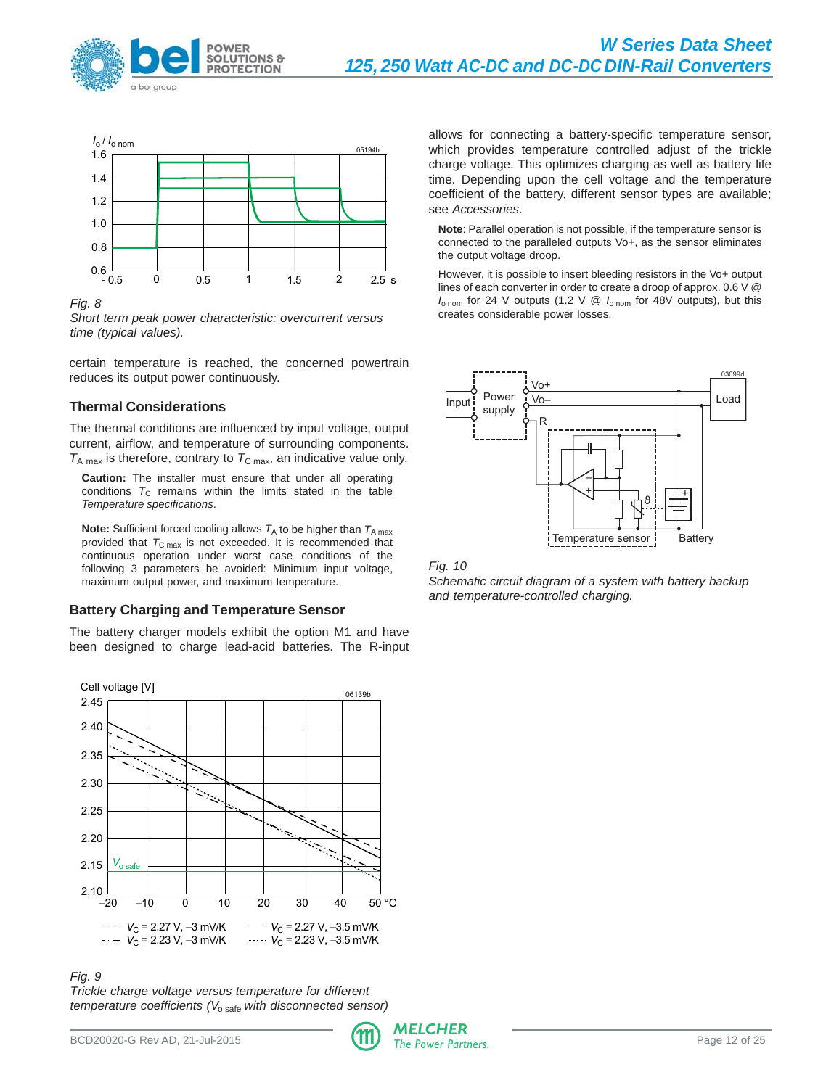



Fig. 8

Short term peak power characteristic: overcurrent versus time (typical values).

certain temperature is reached, the concerned powertrain reduces its output power continuously.

# **Thermal Considerations**

The thermal conditions are influenced by input voltage, output current, airflow, and temperature of surrounding components.  $T_{\rm A\,max}$  is therefore, contrary to  $T_{\rm C\,max}$ , an indicative value only.

**Caution:** The installer must ensure that under all operating conditions  $T_c$  remains within the limits stated in the table Temperature specifications.

**Note:** Sufficient forced cooling allows  $T_A$  to be higher than  $T_{A \text{ max}}$ provided that  $T_{\text{C max}}$  is not exceeded. It is recommended that continuous operation under worst case conditions of the following 3 parameters be avoided: Minimum input voltage, maximum output power, and maximum temperature.

# **Battery Charging and Temperature Sensor**

The battery charger models exhibit the option M1 and have been designed to charge lead-acid batteries. The R-input



Fig. 9

Trickle charge voltage versus temperature for different temperature coefficients  $(V_{\text{o safe}}$  with disconnected sensor) allows for connecting a battery-specific temperature sensor, which provides temperature controlled adjust of the trickle charge voltage. This optimizes charging as well as battery life time. Depending upon the cell voltage and the temperature coefficient of the battery, different sensor types are available; see Accessories.

**Note**: Parallel operation is not possible, if the temperature sensor is connected to the paralleled outputs Vo+, as the sensor eliminates the output voltage droop.

However, it is possible to insert bleeding resistors in the Vo+ output lines of each converter in order to create a droop of approx. 0.6 V @  $I_{\text{o nom}}$  for 24 V outputs (1.2 V @  $I_{\text{o nom}}$  for 48V outputs), but this creates considerable power losses.



Fig. 10

Schematic circuit diagram of a system with battery backup and temperature-controlled charging.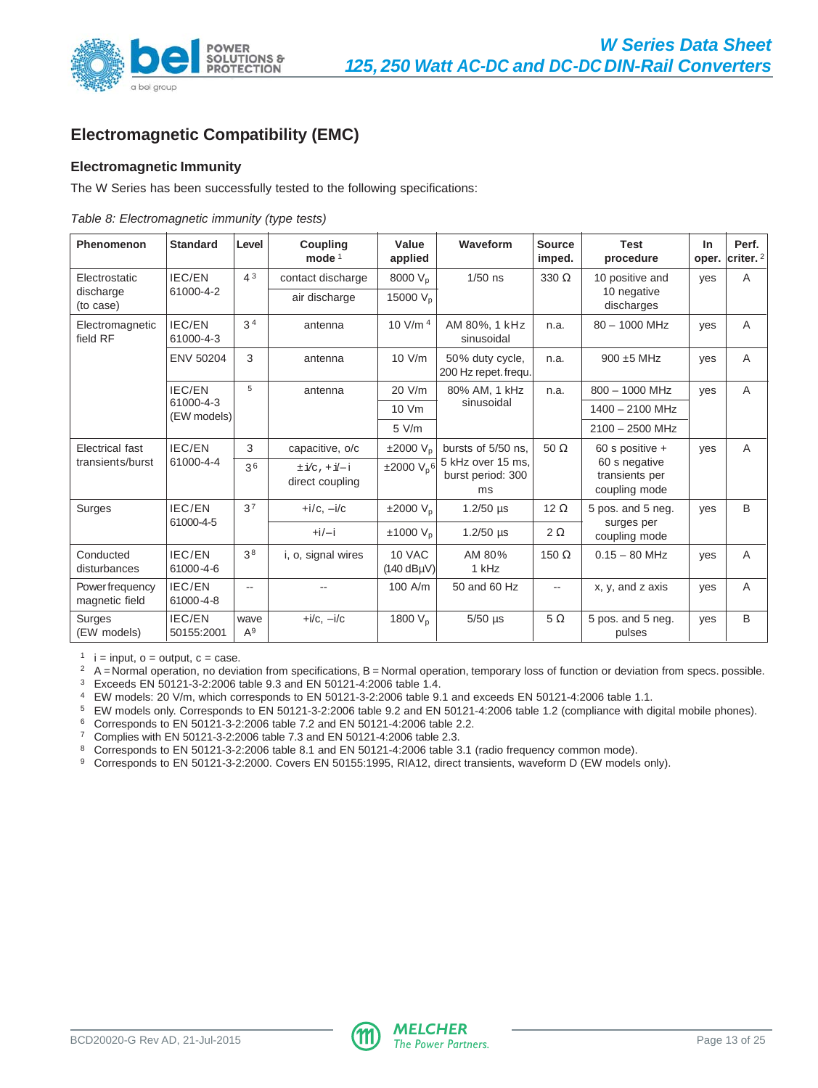<span id="page-12-0"></span>

# **Electromagnetic Compatibility (EMC)**

# **Electromagnetic Immunity**

The W Series has been successfully tested to the following specifications:

|  | Table 8: Electromagnetic immunity (type tests) |  |  |
|--|------------------------------------------------|--|--|
|  |                                                |  |  |

| Phenomenon                       | <b>Standard</b>            | Level                    | <b>Coupling</b><br>mode $1$            | Value<br>applied                  | Waveform                                     | <b>Source</b><br>imped.  | <b>Test</b><br>procedure                         | In.<br>oper. | Perf.<br>$ $ criter. ${}^{2}$ |
|----------------------------------|----------------------------|--------------------------|----------------------------------------|-----------------------------------|----------------------------------------------|--------------------------|--------------------------------------------------|--------------|-------------------------------|
| Electrostatic                    | <b>IEC/EN</b>              | 4 <sup>3</sup>           | contact discharge                      | 8000 V <sub>p</sub>               | $1/50$ ns                                    | $330 \Omega$             | 10 positive and                                  | yes          | A                             |
| discharge<br>(to case)           | 61000-4-2                  |                          | air discharge                          | 15000 V <sub>p</sub>              |                                              |                          | 10 negative<br>discharges                        |              |                               |
| Electromagnetic<br>field RF      | <b>IEC/EN</b><br>61000-4-3 | 3 <sup>4</sup>           | antenna                                | 10 V/m $4$                        | AM 80%, 1 kHz<br>sinusoidal                  | n.a.                     | $80 - 1000$ MHz                                  | yes          | A                             |
|                                  | <b>ENV 50204</b>           | 3                        | antenna                                | 10 V/m                            | 50% duty cycle,<br>200 Hz repet. frequ.      | n.a.                     | $900 \pm 5$ MHz                                  | yes          | A                             |
|                                  | IEC/EN                     | 5                        | antenna                                | 20 V/m                            | 80% AM, 1 kHz                                | $800 - 1000$ MHz<br>n.a. |                                                  | yes          | A                             |
|                                  | 61000-4-3<br>$(EW$ models) |                          |                                        | 10 Vm                             | sinusoidal                                   | 1400 - 2100 MHz          |                                                  |              |                               |
|                                  |                            |                          |                                        | $5$ V/m                           |                                              |                          | $2100 - 2500$ MHz                                |              |                               |
| Electrical fast                  | IEC/EN                     | 3                        | capacitive, o/c                        | ±2000 V <sub>n</sub>              | bursts of 5/50 ns.                           | $50 \Omega$              | 60 s positive +                                  | yes          | A                             |
| transients/burst                 | 61000-4-4                  | 36                       | $\pm i/c$ , $+i/-i$<br>direct coupling | ±2000 V <sub>p</sub> 6            | 5 kHz over 15 ms,<br>burst period: 300<br>ms |                          | 60 s negative<br>transients per<br>coupling mode |              |                               |
| Surges                           | IEC/EN                     | 37                       | $+i/c$ , $-i/c$                        | $\pm 2000$ V <sub>n</sub>         | $1.2/50$ µs                                  | 12 $\Omega$              | 5 pos. and 5 neg.                                | yes          | B                             |
|                                  | 61000-4-5                  |                          | $+i/-i$                                | ±1000 V <sub>p</sub>              | $1.2/50$ µs                                  | $2\Omega$                | surges per<br>coupling mode                      |              |                               |
| Conducted<br>disturbances        | IEC/EN<br>61000-4-6        | 38                       | i, o, signal wires                     | 10 VAC<br>(140 dB <sub>H</sub> V) | AM 80%<br>1 kHz                              | 150 $\Omega$             | $0.15 - 80$ MHz                                  | yes          | A                             |
| Powerfrequency<br>magnetic field | IEC/EN<br>61000-4-8        | $\overline{\phantom{a}}$ |                                        | 100 A/m                           | 50 and 60 Hz                                 | $- -$                    | x, y, and z axis                                 | yes          | A                             |
| Surges<br>(EW models)            | IEC/EN<br>50155:2001       | wave<br>$A^9$            | $+i/c$ , $-i/c$                        | 1800 $V_{p}$                      | $5/50$ µs                                    | $5\Omega$                | 5 pos. and 5 neg.<br>pulses                      | yes          | B                             |

 $1$  i = input, o = output, c = case.

<sup>2</sup> A = Normal operation, no deviation from specifications, B = Normal operation, temporary loss of function or deviation from specs. possible.

<sup>3</sup> Exceeds EN 50121-3-2:2006 table 9.3 and EN 50121-4:2006 table 1.4.

<sup>4</sup> EW models: 20 V/m, which corresponds to EN 50121-3-2:2006 table 9.1 and exceeds EN 50121-4:2006 table 1.1.

<sup>5</sup> EW models only. Corresponds to EN 50121-3-2:2006 table 9.2 and EN 50121-4:2006 table 1.2 (compliance with digital mobile phones).

<sup>6</sup> Corresponds to EN 50121-3-2:2006 table 7.2 and EN 50121-4:2006 table 2.2.

<sup>7</sup> Complies with EN 50121-3-2:2006 table 7.3 and EN 50121-4:2006 table 2.3.

<sup>8</sup> Corresponds to EN 50121-3-2:2006 table 8.1 and EN 50121-4:2006 table 3.1 (radio frequency common mode).

9 Corresponds to EN 50121-3-2:2000. Covers EN 50155:1995, RIA12, direct transients, waveform D (EW models only).

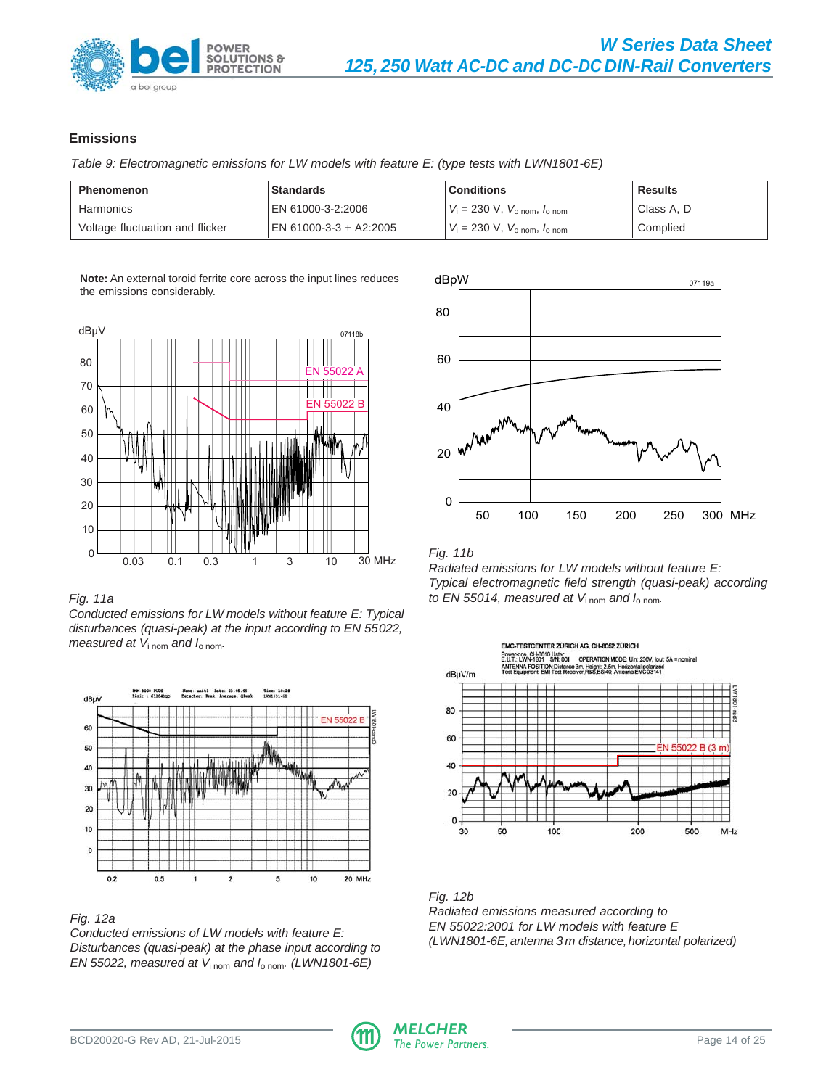

# **Emissions**

Table 9: Electromagnetic emissions for LW models with feature E: (type tests with LWN1801-6E)

| <b>Phenomenon</b>               | <b>Standards</b>       | <b>Conditions</b>                          | <b>Results</b> |
|---------------------------------|------------------------|--------------------------------------------|----------------|
| Harmonics                       | EN 61000-3-2:2006      | $V_i = 230$ V, $V_{o, nom}$ , $l_{o, nom}$ | Class A. D     |
| Voltage fluctuation and flicker | EN 61000-3-3 + A2:2005 | $V_i = 230$ V, $V_{o, nom}$ , $l_{o, nom}$ | Complied       |

**Note:** An external toroid ferrite core across the input lines reduces the emissions considerably.



Conducted emissions for LW models without feature E: Typical disturbances (quasi-peak) at the input according to EN 55022, measured at  $V_{i\text{ nom}}$  and  $I_{o\text{ nom}}$ .



Fig. 12a

Conducted emissions of LW models with feature E: Disturbances (quasi-peak) at the phase input according to EN 55022, measured at  $V_{i\text{ nom}}$  and  $I_{o\text{ nom}}$ . (LWN1801-6E)



# Fig. 11b

Radiated emissions for LW models without feature E: Typical electromagnetic field strength (quasi-peak) according Fig. 11a to EN 55014, measured at  $V_{\text{1nom}}$  and  $I_{\text{o nom}}$ .



Fig. 12b Radiated emissions measured according to EN 55022:2001 for LW models with feature E (LWN1801-6E, antenna 3 m distance, horizontal polarized)

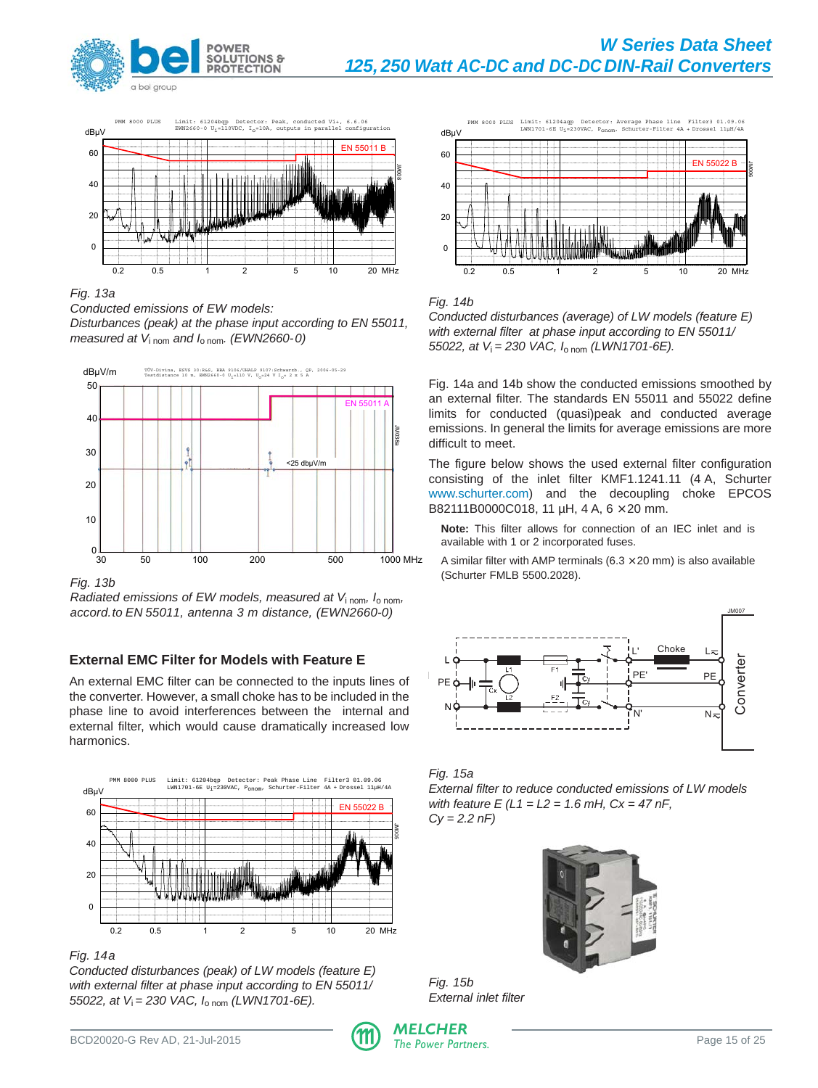



Fig. 13a

Conducted emissions of EW models:

Disturbances (peak) at the phase input according to EN 55011, measured at  $V_{i\text{ nom}}$  and  $I_{o\text{ nom}}$ . (EWN2660-0)



Fig. 13b

Radiated emissions of EW models, measured at  $V_{\text{inom}}$ ,  $I_{\text{o nom}}$ , accord. to EN 55011, antenna 3 m distance, (EWN2660-0)

# **External EMC Filter for Models with Feature E**

An external EMC filter can be connected to the inputs lines of the converter. However, a small choke has to be included in the phase line to avoid interferences between the internal and external filter, which would cause dramatically increased low harmonics.



Fig. 14a

Conducted disturbances (peak) of LW models (feature E) with external filter at phase input according to EN 55011/ 55022, at  $V_i = 230$  VAC,  $I_{\text{o nom}}$  (LWN1701-6E).





# Fig. 14b

Conducted disturbances (average) of LW models (feature E) with external filter at phase input according to EN 55011/ 55022, at  $V_i = 230$  VAC,  $I_{o \text{ nom}}$  (LWN1701-6E).

Fig. 14a and 14b show the conducted emissions smoothed by an external filter. The standards EN 55011 and 55022 define limits for conducted (quasi)peak and conducted average emissions. In general the limits for average emissions are more difficult to meet.

The figure below shows the used external filter configuration consisting of the inlet filter KMF1.1241.11 (4 A, Schurter www.schurter.com) and the decoupling choke EPCOS B82111B0000C018, 11 µH, 4 A, 6 × 20 mm.

**Note:** This filter allows for connection of an IEC inlet and is available with 1 or 2 incorporated fuses.

A similar filter with AMP terminals  $(6.3 \times 20 \text{ mm})$  is also available (Schurter FMLB 5500.2028).





External filter to reduce conducted emissions of LW models with feature  $E (L1 = L2 = 1.6$  mH,  $Cx = 47$  nF,  $Cy = 2.2 nF$ 



Fig. 15b External inlet filter

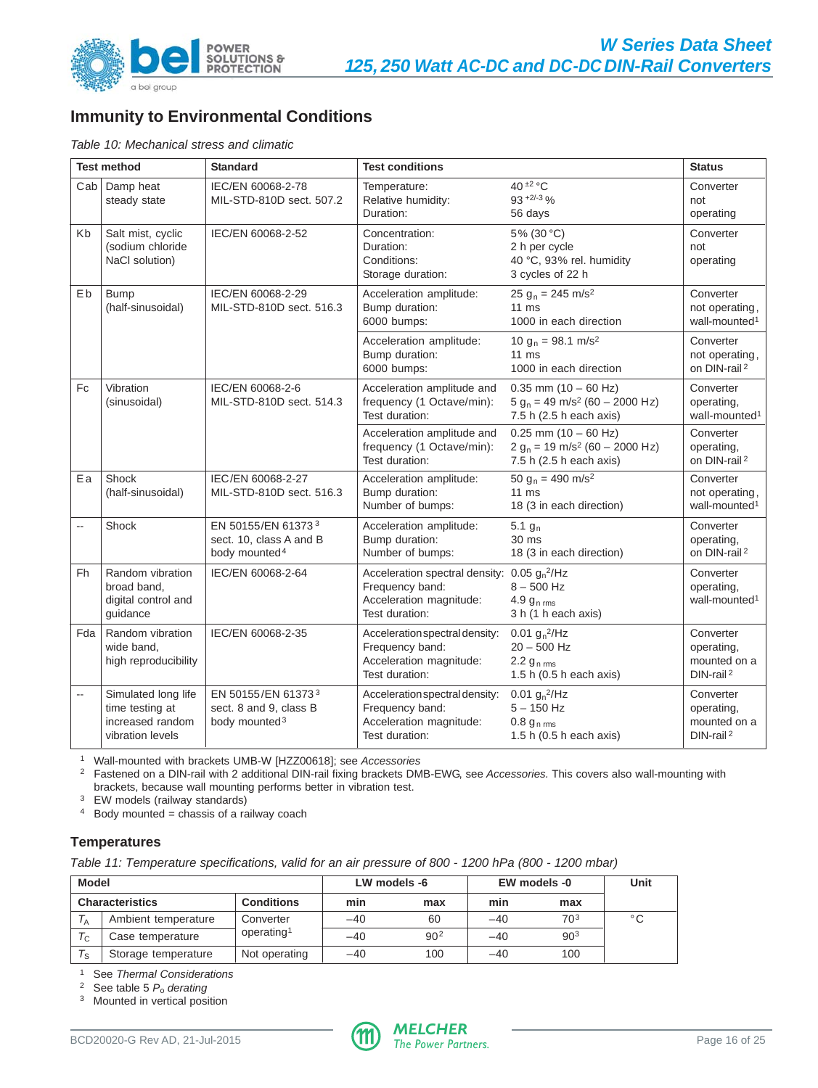<span id="page-15-0"></span>

# **Immunity to Environmental Conditions**

Table 10: Mechanical stress and climatic

|                          | <b>Test method</b>                                                             | <b>Standard</b>                                                            | <b>Test conditions</b>                                                                                       |                                                                                                     | <b>Status</b>                                                    |
|--------------------------|--------------------------------------------------------------------------------|----------------------------------------------------------------------------|--------------------------------------------------------------------------------------------------------------|-----------------------------------------------------------------------------------------------------|------------------------------------------------------------------|
|                          | Cab   Damp heat<br>steady state                                                | IEC/EN 60068-2-78<br>MIL-STD-810D sect. 507.2                              | Temperature:<br>Relative humidity:<br>Duration:                                                              | 40 $\pm 2$ °C<br>$93 + 2/ - 3$ %<br>56 days                                                         | Converter<br>not<br>operating                                    |
| Kb                       | Salt mist, cyclic<br>(sodium chloride<br>NaCl solution)                        | IEC/EN 60068-2-52                                                          | Concentration:<br>Duration:<br>Conditions:<br>Storage duration:                                              | 5% (30 °C)<br>2 h per cycle<br>40 °C, 93% rel. humidity<br>3 cycles of 22 h                         | Converter<br>not<br>operating                                    |
| Eb                       | <b>Bump</b><br>(half-sinusoidal)                                               | IEC/EN 60068-2-29<br>MIL-STD-810D sect. 516.3                              | Acceleration amplitude:<br>Bump duration:<br>6000 bumps:                                                     | 25 g <sub>n</sub> = 245 m/s <sup>2</sup><br>$11 \text{ ms}$<br>1000 in each direction               | Converter<br>not operating,<br>wall-mounted <sup>1</sup>         |
|                          |                                                                                |                                                                            | Acceleration amplitude:<br>Bump duration:<br>6000 bumps:                                                     | 10 g <sub>n</sub> = 98.1 m/s <sup>2</sup><br>$11 \text{ ms}$<br>1000 in each direction              | Converter<br>not operating,<br>on DIN-rail <sup>2</sup>          |
| Fc                       | Vibration<br>(sinusoidal)                                                      | IEC/EN 60068-2-6<br>MIL-STD-810D sect. 514.3                               | Acceleration amplitude and<br>frequency (1 Octave/min):<br>Test duration:                                    | $0.35$ mm $(10 - 60$ Hz)<br>$5 g_n = 49$ m/s <sup>2</sup> (60 - 2000 Hz)<br>7.5 h (2.5 h each axis) | Converter<br>operating,<br>wall-mounted <sup>1</sup>             |
|                          |                                                                                |                                                                            | Acceleration amplitude and<br>frequency (1 Octave/min):<br>Test duration:                                    | $0.25$ mm $(10 - 60$ Hz)<br>$2 g_n = 19$ m/s <sup>2</sup> (60 – 2000 Hz)<br>7.5 h (2.5 h each axis) | Converter<br>operating,<br>on DIN-rail <sup>2</sup>              |
| Ea                       | Shock<br>(half-sinusoidal)                                                     | IEC/EN 60068-2-27<br>MIL-STD-810D sect. 516.3                              | Acceleration amplitude:<br>Bump duration:<br>Number of bumps:                                                | 50 g <sub>n</sub> = 490 m/s <sup>2</sup><br>$11 \text{ ms}$<br>18 (3 in each direction)             | Converter<br>not operating,<br>wall-mounted <sup>1</sup>         |
| --                       | Shock                                                                          | EN 50155/EN 613733<br>sect. 10, class A and B<br>body mounted <sup>4</sup> | Acceleration amplitude:<br>Bump duration:<br>Number of bumps:                                                | 5.1 $g_n$<br>30 ms<br>18 (3 in each direction)                                                      | Converter<br>operating,<br>on DIN-rail <sup>2</sup>              |
| Fh                       | Random vibration<br>broad band,<br>digital control and<br>quidance             | IEC/EN 60068-2-64                                                          | Acceleration spectral density: $0.05 gn2/Hz$<br>Frequency band:<br>Acceleration magnitude:<br>Test duration: | $8 - 500$ Hz<br>4.9 $g_{n, \text{rms}}$<br>3 h (1 h each axis)                                      | Converter<br>operating,<br>wall-mounted <sup>1</sup>             |
| Fda                      | Random vibration<br>wide band,<br>high reproducibility                         | IEC/EN 60068-2-35                                                          | Acceleration spectral density:<br>Frequency band:<br>Acceleration magnitude:<br>Test duration:               | 0.01 $g_n^2/Hz$<br>$20 - 500$ Hz<br>$2.2 g_{n \, rms}$<br>1.5 h (0.5 h each axis)                   | Converter<br>operating,<br>mounted on a<br>DIN-rail <sup>2</sup> |
| $\overline{\phantom{a}}$ | Simulated long life<br>time testing at<br>increased random<br>vibration levels | EN 50155/EN 613733<br>sect. 8 and 9, class B<br>body mounted <sup>3</sup>  | Acceleration spectral density:<br>Frequency band:<br>Acceleration magnitude:<br>Test duration:               | 0.01 $g_n^2$ /Hz<br>$5 - 150$ Hz<br>$0.8 g_{n \, \text{rms}}$<br>1.5 h (0.5 h each axis)            | Converter<br>operating,<br>mounted on a<br>DIN-rail <sup>2</sup> |

<sup>1</sup> Wall-mounted with brackets UMB-W [HZZ00618]; see Accessories

<sup>2</sup> Fastened on a DIN-rail with 2 additional DIN-rail fixing brackets DMB-EWG, see Accessories. This covers also wall-mounting with brackets, because wall mounting performs better in vibration test.

<sup>3</sup> EW models (railway standards)

 $4$  Body mounted = chassis of a railway coach

# **Temperatures**

Table 11: Temperature specifications, valid for an air pressure of 800 - 1200 hPa (800 - 1200 mbar)

| Model                                       |                     |                        | LW models -6 |                 | EW models -0 | Unit            |    |
|---------------------------------------------|---------------------|------------------------|--------------|-----------------|--------------|-----------------|----|
| <b>Characteristics</b><br><b>Conditions</b> |                     |                        | min          | max             | min          | max             |    |
|                                             | Ambient temperature | Converter              | $-40$        | 60              | $-40$        | 703             | °C |
| $T_{C}$                                     | Case temperature    | operating <sup>1</sup> | $-40$        | 90 <sup>2</sup> | $-40$        | 90 <sup>3</sup> |    |
| $T_S$                                       | Storage temperature | Not operating          | $-40$        | 100             | -40          | 100             |    |

<sup>1</sup> See Thermal Considerations

<sup>2</sup> See table 5  $P_0$  derating

<sup>3</sup> Mounted in vertical position

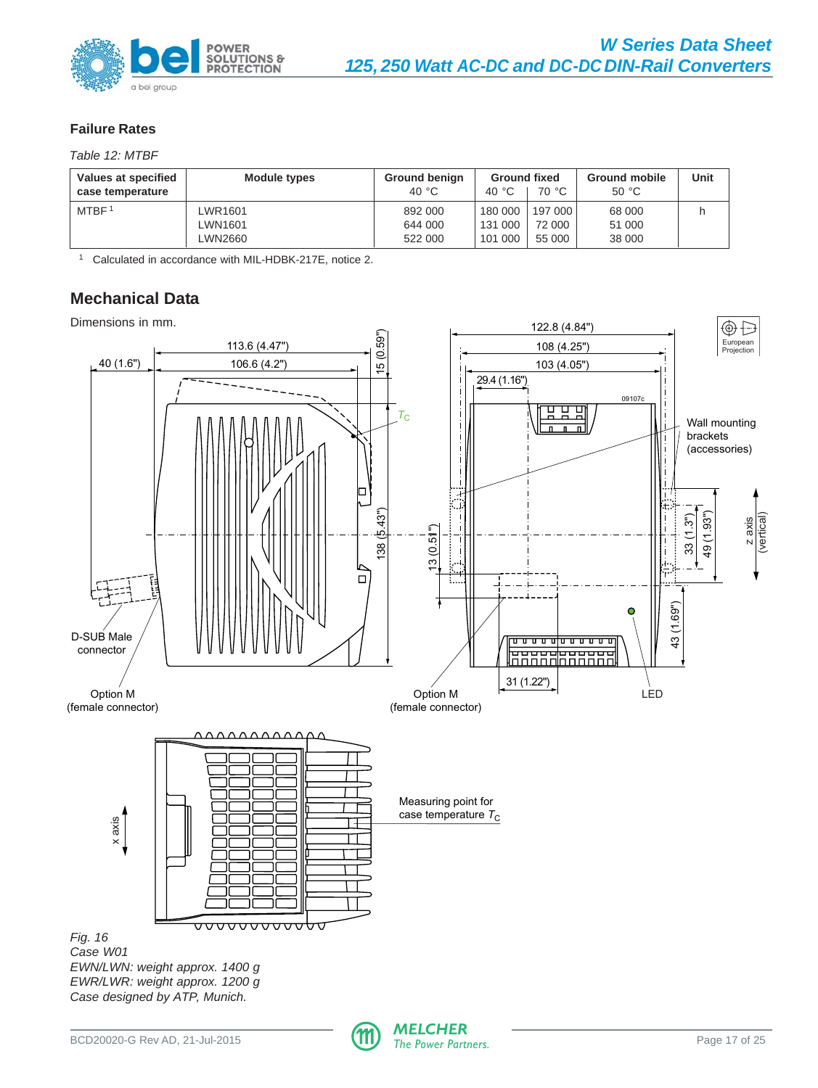<span id="page-16-0"></span>

# **Failure Rates**

Table 12: MTBF

| Values at specified<br>Module types<br>case temperature |         | <b>Ground benign</b><br>40 °C | <b>Ground fixed</b><br>40 $^{\circ}$ C | 70 °C   | <b>Ground mobile</b><br>50 °C | Unit |
|---------------------------------------------------------|---------|-------------------------------|----------------------------------------|---------|-------------------------------|------|
| MTBF <sup>1</sup>                                       | WR1601  | 892 000                       | 180 000                                | 197 000 | 68 000                        |      |
|                                                         | WN1601- | 644 000                       | 131 000                                | 72 000  | 51 000                        |      |
|                                                         | WN2660  | 522 000                       | 101 000                                | 55 000  | 38 000                        |      |

<sup>1</sup> Calculated in accordance with MIL-HDBK-217E, notice 2.

# **Mechanical Data**

Dimensions in mm.



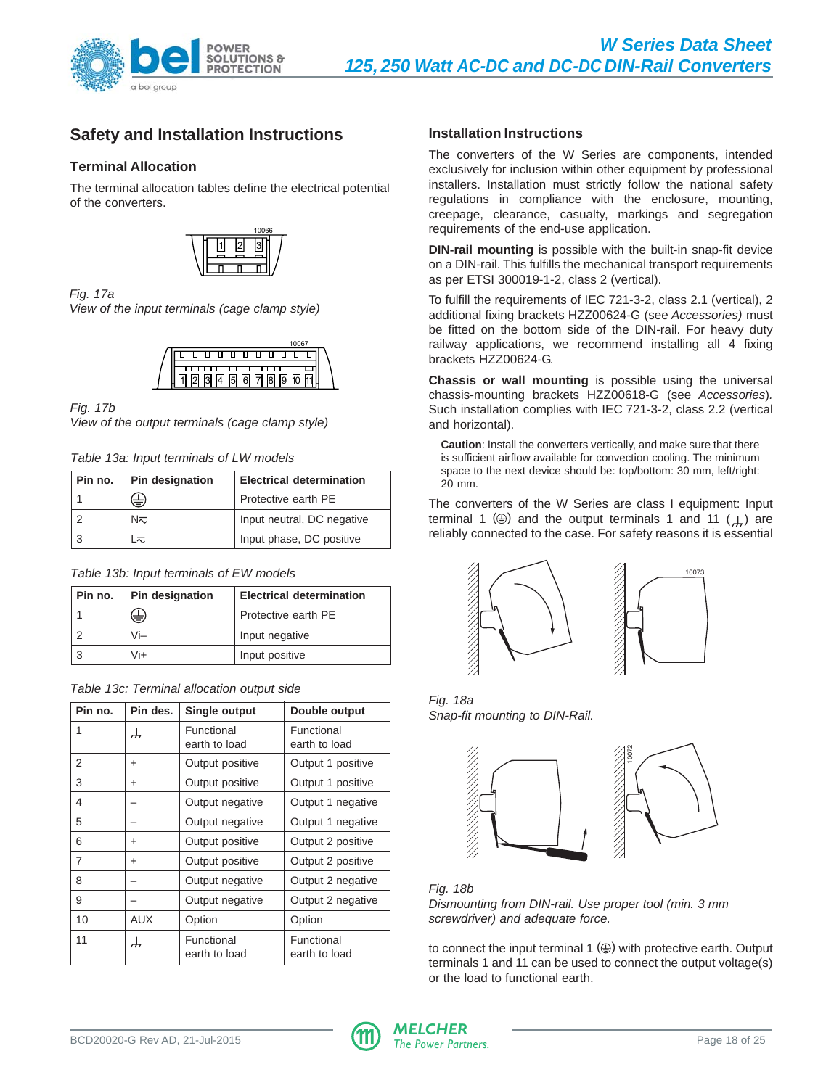<span id="page-17-0"></span>

# **Safety and Installation Instructions**

# **Terminal Allocation**

The terminal allocation tables define the electrical potential of the converters.



#### Fig. 17a

View of the input terminals (cage clamp style)



### Fig. 17b

View of the output terminals (cage clamp style)

Table 13a: Input terminals of LW models

| Pin no. | <b>Pin designation</b> | <b>Electrical determination</b> |
|---------|------------------------|---------------------------------|
|         | ⇔                      | Protective earth PE             |
|         | N≂                     | Input neutral, DC negative      |
|         | L≂                     | Input phase, DC positive        |

|  |  |  | Table 13b: Input terminals of EW models |  |  |  |
|--|--|--|-----------------------------------------|--|--|--|
|--|--|--|-----------------------------------------|--|--|--|

| Pin no. | <b>Pin designation</b> | <b>Electrical determination</b> |  |  |
|---------|------------------------|---------------------------------|--|--|
|         | ⇔                      | Protective earth PE             |  |  |
|         | Vi-                    | Input negative                  |  |  |
|         | Vi+                    | Input positive                  |  |  |

| Table 13c: Terminal allocation output side |  |  |  |  |
|--------------------------------------------|--|--|--|--|
|--------------------------------------------|--|--|--|--|

| Pin no. | Pin des.   | Single output               | Double output               |
|---------|------------|-----------------------------|-----------------------------|
| 1       | ᆉ          | Functional<br>earth to load | Functional<br>earth to load |
| 2       | +          | Output positive             | Output 1 positive           |
| 3       | +          | Output positive             | Output 1 positive           |
| 4       |            | Output negative             | Output 1 negative           |
| 5       |            | Output negative             | Output 1 negative           |
| 6       | +          | Output positive             | Output 2 positive           |
| 7       | +          | Output positive             | Output 2 positive           |
| 8       |            | Output negative             | Output 2 negative           |
| 9       |            | Output negative             | Output 2 negative           |
| 10      | <b>AUX</b> | Option                      | Option                      |
| 11      | ┹          | Functional<br>earth to load | Functional<br>earth to load |

# **Installation Instructions**

The converters of the W Series are components, intended exclusively for inclusion within other equipment by professional installers. Installation must strictly follow the national safety regulations in compliance with the enclosure, mounting, creepage, clearance, casualty, markings and segregation requirements of the end-use application.

**DIN-rail mounting** is possible with the built-in snap-fit device on a DIN-rail. This fulfills the mechanical transport requirements as per ETSI 300019-1-2, class 2 (vertical).

To fulfill the requirements of IEC 721-3-2, class 2.1 (vertical), 2 additional fixing brackets HZZ00624-G (see Accessories) must be fitted on the bottom side of the DIN-rail. For heavy duty railway applications, we recommend installing all 4 fixing brackets HZZ00624-G.

**Chassis or wall mounting** is possible using the universal chassis-mounting brackets HZZ00618-G (see Accessories). Such installation complies with IEC 721-3-2, class 2.2 (vertical and horizontal).

**Caution**: Install the converters vertically, and make sure that there is sufficient airflow available for convection cooling. The minimum space to the next device should be: top/bottom: 30 mm, left/right: 20 mm.

The converters of the W Series are class I equipment: Input terminal 1 ( $\circledast$ ) and the output terminals 1 and 11 ( $\downarrow$ ) are reliably connected to the case. For safety reasons it is essential



Fig. 18a Snap-fit mounting to DIN-Rail.



Fig. 18b Dismounting from DIN-rail. Use proper tool (min. 3 mm screwdriver) and adequate force.

to connect the input terminal  $1 \circledcirc$ ) with protective earth. Output terminals 1 and 11 can be used to connect the output voltage(s) or the load to functional earth.

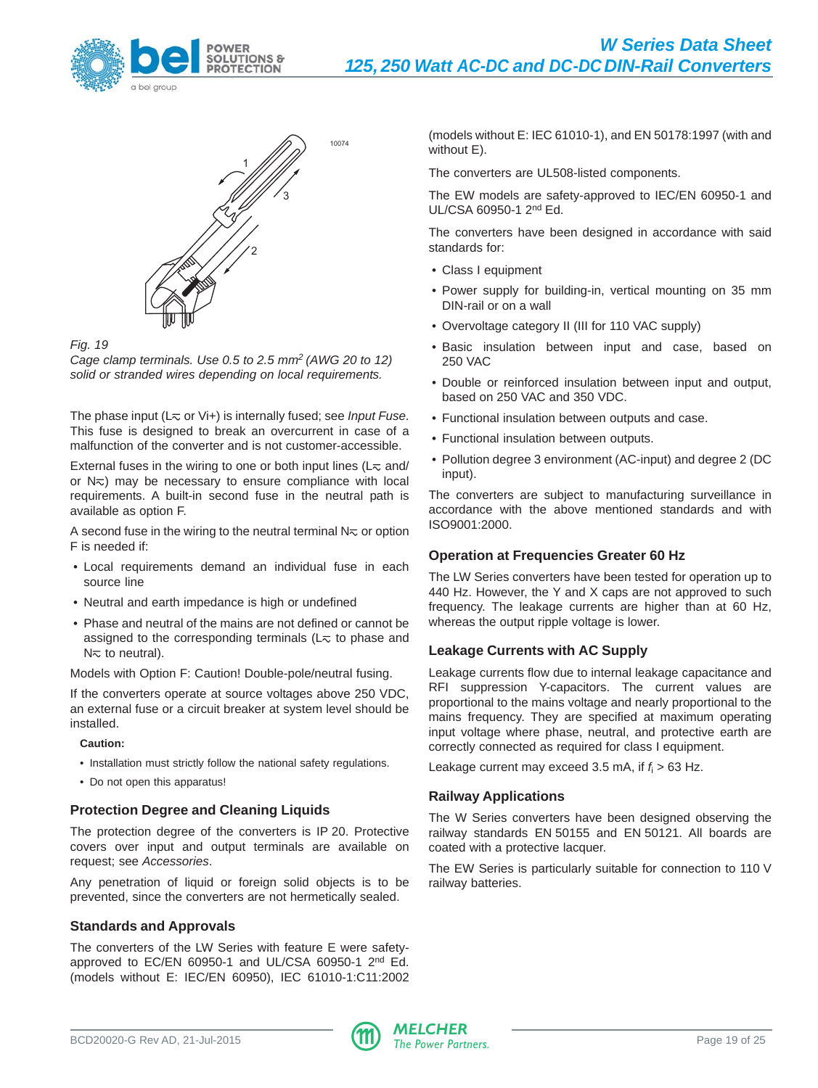



#### Fig. 19

Cage clamp terminals. Use 0.5 to 2.5 mm2 (AWG 20 to 12) solid or stranded wires depending on local requirements.

The phase input ( $L<sub>\infty</sub>$  or Vi+) is internally fused; see *Input Fuse*. This fuse is designed to break an overcurrent in case of a malfunction of the converter and is not customer-accessible.

External fuses in the wiring to one or both input lines ( $L<sub>\infty</sub>$  and/ or  $N_{\overline{<}}$ ) may be necessary to ensure compliance with local requirements. A built-in second fuse in the neutral path is available as option F.

A second fuse in the wiring to the neutral terminal  $N<sub>\infty</sub>$  or option F is needed if:

- Local requirements demand an individual fuse in each source line
- Neutral and earth impedance is high or undefined
- Phase and neutral of the mains are not defined or cannot be assigned to the corresponding terminals ( $L<sub>\infty</sub>$  to phase and  $N<sub>\sim</sub>$  to neutral).

Models with Option F: Caution! Double-pole/neutral fusing.

If the converters operate at source voltages above 250 VDC, an external fuse or a circuit breaker at system level should be installed.

**Caution:**

- Installation must strictly follow the national safety regulations.
- Do not open this apparatus!

# **Protection Degree and Cleaning Liquids**

The protection degree of the converters is IP 20. Protective covers over input and output terminals are available on request; see Accessories.

Any penetration of liquid or foreign solid objects is to be prevented, since the converters are not hermetically sealed.

# **Standards and Approvals**

The converters of the LW Series with feature E were safetyapproved to EC/EN 60950-1 and UL/CSA 60950-1 2<sup>nd</sup> Ed. (models without E: IEC/EN 60950), IEC 61010-1:C11:2002 (models without E: IEC 61010-1), and EN 50178:1997 (with and without E).

The converters are UL508-listed components.

The EW models are safety-approved to IEC/EN 60950-1 and UL/CSA 60950-1 2nd Ed.

The converters have been designed in accordance with said standards for:

- Class I equipment
- Power supply for building-in, vertical mounting on 35 mm DIN-rail or on a wall
- Overvoltage category II (III for 110 VAC supply)
- Basic insulation between input and case, based on 250 VAC
- Double or reinforced insulation between input and output, based on 250 VAC and 350 VDC.
- Functional insulation between outputs and case.
- Functional insulation between outputs.
- Pollution degree 3 environment (AC-input) and degree 2 (DC input).

The converters are subject to manufacturing surveillance in accordance with the above mentioned standards and with ISO9001:2000.

# **Operation at Frequencies Greater 60 Hz**

The LW Series converters have been tested for operation up to 440 Hz. However, the Y and X caps are not approved to such frequency. The leakage currents are higher than at 60 Hz, whereas the output ripple voltage is lower.

# **Leakage Currents with AC Supply**

Leakage currents flow due to internal leakage capacitance and RFI suppression Y-capacitors. The current values are proportional to the mains voltage and nearly proportional to the mains frequency. They are specified at maximum operating input voltage where phase, neutral, and protective earth are correctly connected as required for class I equipment.

Leakage current may exceed 3.5 mA, if  $f_i > 63$  Hz.

# **Railway Applications**

The W Series converters have been designed observing the railway standards EN 50155 and EN 50121. All boards are coated with a protective lacquer.

The EW Series is particularly suitable for connection to 110 V railway batteries.

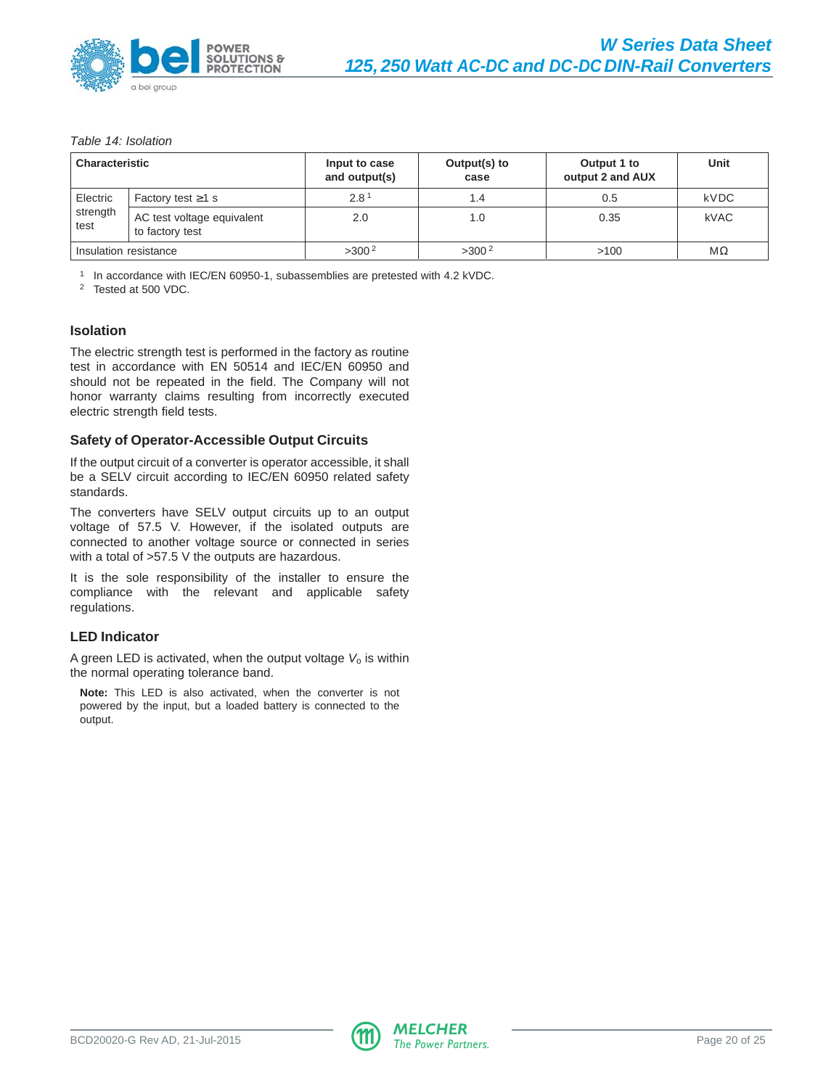

#### Table 14: Isolation

| <b>Characteristic</b> |                                               | Input to case<br>and output(s) | Output(s) to<br>case | Output 1 to<br>output 2 and AUX | Unit      |
|-----------------------|-----------------------------------------------|--------------------------------|----------------------|---------------------------------|-----------|
| Electric              | Factory test $\geq 1$ s                       | 2.8 <sup>1</sup>               | 1.4                  | 0.5                             | kVDC      |
| strength<br>test      | AC test voltage equivalent<br>to factory test | 2.0                            | 1.0                  | 0.35                            | kVAC      |
| Insulation resistance |                                               | $>300^2$                       | $>300^2$             | >100                            | $M\Omega$ |

<sup>1</sup> In accordance with IEC/EN 60950-1, subassemblies are pretested with 4.2 kVDC.

<sup>2</sup> Tested at 500 VDC.

#### **Isolation**

The electric strength test is performed in the factory as routine test in accordance with EN 50514 and IEC/EN 60950 and should not be repeated in the field. The Company will not honor warranty claims resulting from incorrectly executed electric strength field tests.

#### **Safety of Operator-Accessible Output Circuits**

If the output circuit of a converter is operator accessible, it shall be a SELV circuit according to IEC/EN 60950 related safety standards.

The converters have SELV output circuits up to an output voltage of 57.5 V. However, if the isolated outputs are connected to another voltage source or connected in series with a total of >57.5 V the outputs are hazardous.

It is the sole responsibility of the installer to ensure the compliance with the relevant and applicable safety regulations.

#### **LED Indicator**

A green LED is activated, when the output voltage  $V_0$  is within the normal operating tolerance band.

**Note:** This LED is also activated, when the converter is not powered by the input, but a loaded battery is connected to the output.

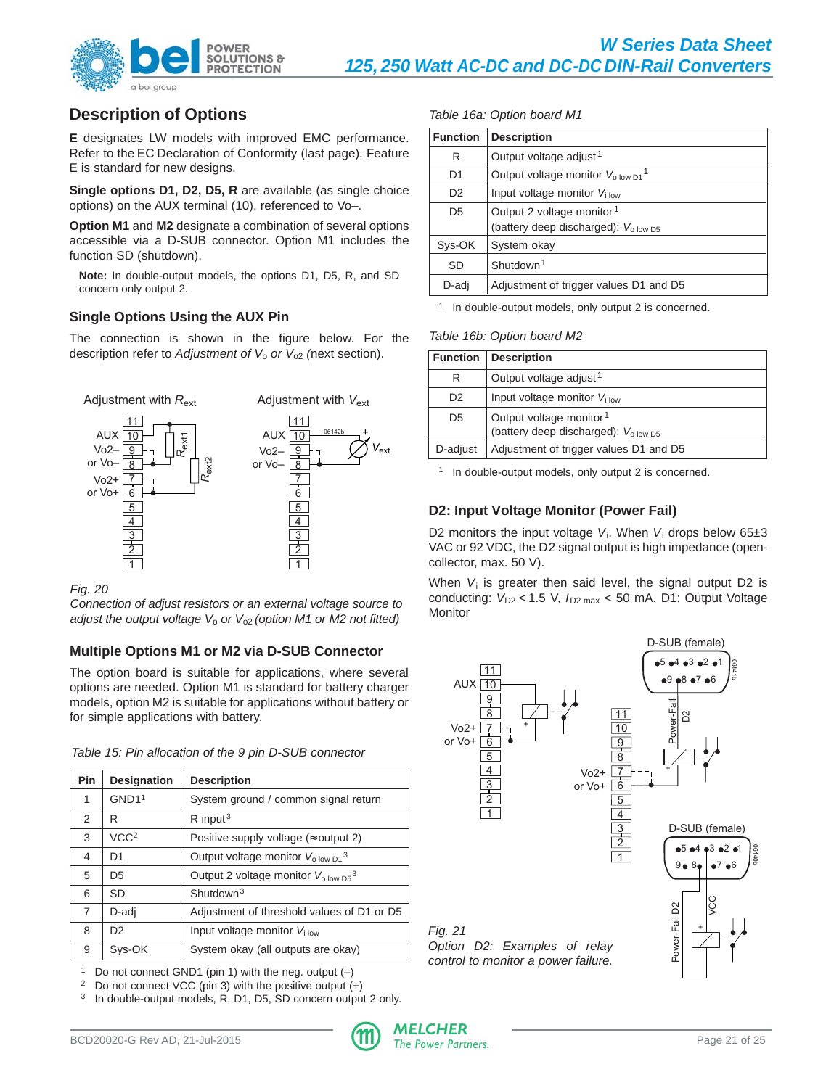

# **Description of Options**

**E** designates LW models with improved EMC performance. Refer to the EC Declaration of Conformity (last page). Feature E is standard for new designs.

**Single options D1, D2, D5, R** are available (as single choice options) on the AUX terminal (10), referenced to Vo–.

**Option M1** and **M2** designate a combination of several options accessible via a D-SUB connector. Option M1 includes the function SD (shutdown).

**Note:** In double-output models, the options D1, D5, R, and SD concern only output 2.

# **Single Options Using the AUX Pin**

The connection is shown in the figure below. For the description refer to Adjustment of  $V_0$  or  $V_{02}$  (next section).



#### Fig. 20

Connection of adjust resistors or an external voltage source to adjust the output voltage  $V_0$  or  $V_{02}$  (option M1 or M2 not fitted)

# **Multiple Options M1 or M2 via D-SUB Connector**

The option board is suitable for applications, where several options are needed. Option M1 is standard for battery charger models, option M2 is suitable for applications without battery or for simple applications with battery.

|  |  |  |  | Table 15: Pin allocation of the 9 pin D-SUB connector |
|--|--|--|--|-------------------------------------------------------|

| Pin            | Designation       | <b>Description</b>                               |
|----------------|-------------------|--------------------------------------------------|
| 1              | GND1 <sup>1</sup> | System ground / common signal return             |
| 2              | R                 | $R$ input <sup>3</sup>                           |
| 3              | VCC <sup>2</sup>  | Positive supply voltage ( $\approx$ output 2)    |
| 4              | D1                | Output voltage monitor $V_{\text{o low D1}}^3$   |
| 5              | D <sub>5</sub>    | Output 2 voltage monitor $V_{\text{o low D5}}^3$ |
| 6              | SD                | Shutdown <sup>3</sup>                            |
| $\overline{7}$ | D-adi             | Adjustment of threshold values of D1 or D5       |
| 8              | D <sub>2</sub>    | Input voltage monitor $V_{\text{low}}$           |
| 9              | Svs-OK            | System okay (all outputs are okay)               |

<sup>1</sup> Do not connect GND1 (pin 1) with the neg. output  $(-)$ 

<sup>2</sup> Do not connect VCC (pin 3) with the positive output  $(+)$ 

<sup>3</sup> In double-output models, R, D1, D5, SD concern output 2 only.

#### Table 16a: Option board M1

| <b>Function</b> | <b>Description</b>                                        |
|-----------------|-----------------------------------------------------------|
| R               | Output voltage adjust <sup>1</sup>                        |
| D1              | Output voltage monitor $V_{\text{o low D1}}$ <sup>1</sup> |
| D <sub>2</sub>  | Input voltage monitor $V_{\text{low}}$                    |
| D <sub>5</sub>  | Output 2 voltage monitor <sup>1</sup>                     |
|                 | (battery deep discharged): V <sub>olow D5</sub>           |
| Sys-OK          | System okay                                               |
| SD              | Shutdown <sup>1</sup>                                     |
| D-adj           | Adjustment of trigger values D1 and D5                    |

<sup>1</sup> In double-output models, only output 2 is concerned.

#### Table 16b: Option board M2

| <b>Function</b> | <b>Description</b>                                                                           |
|-----------------|----------------------------------------------------------------------------------------------|
| R               | Output voltage adjust <sup>1</sup>                                                           |
| D <sub>2</sub>  | Input voltage monitor $V_{\text{low}}$                                                       |
| D5              | Output voltage monitor <sup>1</sup><br>(battery deep discharged): $V_{0.00W}$ D <sub>5</sub> |
| D-adjust        | Adjustment of trigger values D1 and D5                                                       |

<sup>1</sup> In double-output models, only output 2 is concerned.

# **D2: Input Voltage Monitor (Power Fail)**

D2 monitors the input voltage  $V_i$ . When  $V_i$  drops below 65 $\pm$ 3 VAC or 92 VDC, the D2 signal output is high impedance (opencollector, max. 50 V).

When  $V_i$  is greater then said level, the signal output D2 is conducting:  $V_{D2}$  < 1.5 V,  $I_{D2 \text{ max}}$  < 50 mA. D1: Output Voltage **Monitor** 



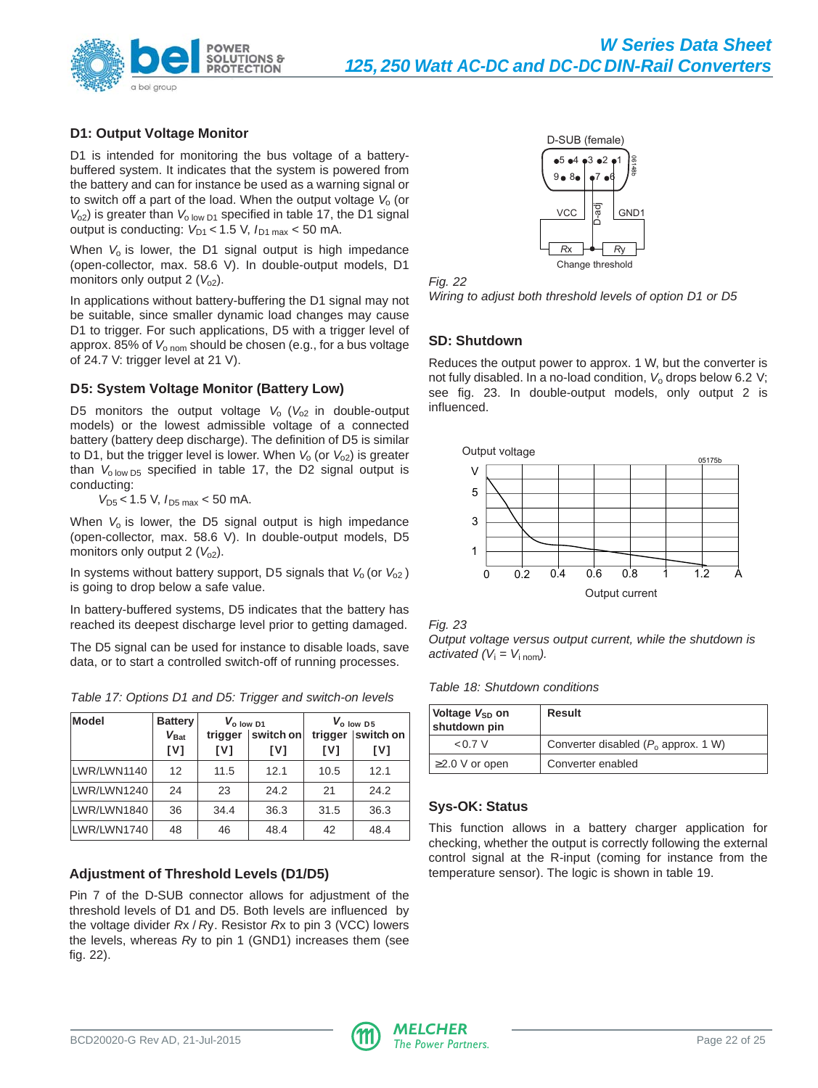

# **D1: Output Voltage Monitor**

D1 is intended for monitoring the bus voltage of a batterybuffered system. It indicates that the system is powered from the battery and can for instance be used as a warning signal or to switch off a part of the load. When the output voltage  $V_0$  (or  $V_{o2}$ ) is greater than  $V_{o}$  low  $D1$  specified in table 17, the D1 signal output is conducting:  $V_{D1}$  < 1.5 V,  $I_{D1 \text{ max}}$  < 50 mA.

When  $V_0$  is lower, the D1 signal output is high impedance (open-collector, max. 58.6 V). In double-output models, D1 monitors only output 2  $(V<sub>o2</sub>)$ .

In applications without battery-buffering the D1 signal may not be suitable, since smaller dynamic load changes may cause D1 to trigger. For such applications, D5 with a trigger level of approx. 85% of  $V_{\text{o nom}}$  should be chosen (e.g., for a bus voltage of 24.7 V: trigger level at 21 V).

# **D5: System Voltage Monitor (Battery Low)**

D5 monitors the output voltage  $V_0$  ( $V_{02}$  in double-output models) or the lowest admissible voltage of a connected battery (battery deep discharge). The definition of D5 is similar to D1, but the trigger level is lower. When  $V_0$  (or  $V_{02}$ ) is greater than  $V_{0.10W}$  D<sub>5</sub> specified in table 17, the D2 signal output is conducting:

 $V_{D5}$  < 1.5 V,  $I_{D5 \text{ max}}$  < 50 mA.

When  $V_0$  is lower, the D5 signal output is high impedance (open-collector, max. 58.6 V). In double-output models, D5 monitors only output 2  $(V<sub>o2</sub>)$ .

In systems without battery support, D5 signals that  $V_0$  (or  $V_{02}$ ) is going to drop below a safe value.

In battery-buffered systems, D5 indicates that the battery has reached its deepest discharge level prior to getting damaged.

The D5 signal can be used for instance to disable loads, save data, or to start a controlled switch-off of running processes.

Table 17: Options D1 and D5: Trigger and switch-on levels

| <b>Model</b> | <b>Battery</b><br>$V_{\text{Bat}}$<br>[V] | V <sub>o low</sub> D1<br>switch on<br>trigger<br>[V]<br>[V] |      | trigger<br>[V] | $V_{o}$ low D5<br>switch on<br>[V] |
|--------------|-------------------------------------------|-------------------------------------------------------------|------|----------------|------------------------------------|
| LWR/LWN1140  | 12                                        | 11.5                                                        | 12.1 | 10.5           | 12.1                               |
| LWR/LWN1240  | 24                                        | 23                                                          | 24.2 | 21             | 24.2                               |
| LWR/LWN1840  | 36                                        | 34.4                                                        | 36.3 | 31.5           | 36.3                               |
| LWR/LWN1740  | 48                                        | 46                                                          | 48.4 | 42             | 48.4                               |

# **Adjustment of Threshold Levels (D1/D5)**

Pin 7 of the D-SUB connector allows for adjustment of the threshold levels of D1 and D5. Both levels are influenced by the voltage divider Rx / Ry. Resistor Rx to pin 3 (VCC) lowers the levels, whereas Ry to pin 1 (GND1) increases them (see fig. 22).





Wiring to adjust both threshold levels of option D1 or D5

# **SD: Shutdown**

Reduces the output power to approx. 1 W, but the converter is not fully disabled. In a no-load condition,  $V_0$  drops below 6.2 V; see fig. 23. In double-output models, only output 2 is influenced.





Output voltage versus output current, while the shutdown is activated  $(V_i = V_{i\text{ nom}})$ .

Table 18: Shutdown conditions

| Voltage V <sub>SD</sub> on<br>shutdown pin | Result                                 |
|--------------------------------------------|----------------------------------------|
| 0.7V                                       | Converter disabled $(P_0$ approx. 1 W) |
| $\geq$ 2.0 V or open                       | Converter enabled                      |

# **Sys-OK: Status**

This function allows in a battery charger application for checking, whether the output is correctly following the external control signal at the R-input (coming for instance from the temperature sensor). The logic is shown in table 19.

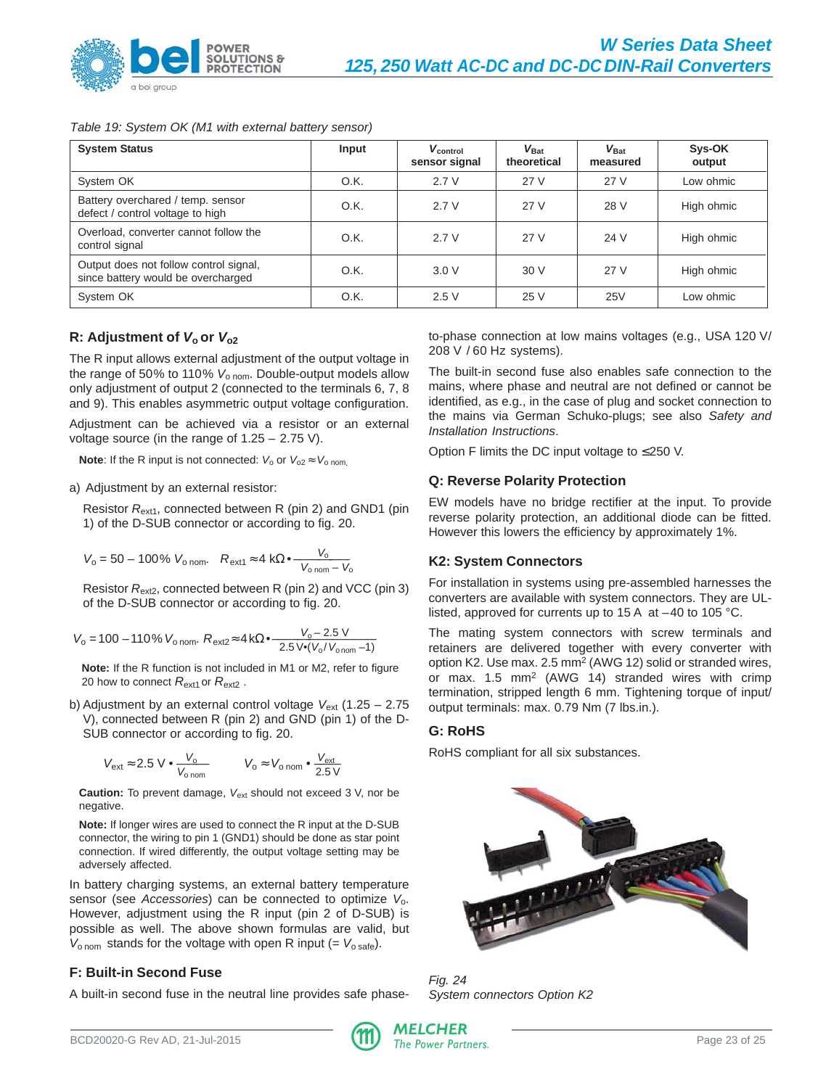

# Table 19: System OK (M1 with external battery sensor)

| <b>System Status</b>                                                         | Input | $V_{control}$<br>sensor signal | $V_{\text{Bat}}$<br>theoretical | $V_{\mathsf{Bat}}$<br>measured | Sys-OK<br>output |
|------------------------------------------------------------------------------|-------|--------------------------------|---------------------------------|--------------------------------|------------------|
| System OK                                                                    | O.K.  | 2.7V                           | 27 V                            | 27 V                           | Low ohmic        |
| Battery overchared / temp. sensor<br>defect / control voltage to high        | O.K.  | 2.7V                           | 27 V                            | 28 V                           | High ohmic       |
| Overload, converter cannot follow the<br>control signal                      | O.K.  | 2.7V                           | 27 V                            | 24 V                           | High ohmic       |
| Output does not follow control signal,<br>since battery would be overcharged | O.K.  | 3.0V                           | 30V                             | 27 V                           | High ohmic       |
| System OK                                                                    | O.K.  | 2.5V                           | 25 V                            | 25V                            | Low ohmic        |

# **R:** Adjustment of  $V_0$  or  $V_{02}$

The R input allows external adjustment of the output voltage in the range of 50% to 110%  $V_{\text{o nom}}$ . Double-output models allow only adjustment of output 2 (connected to the terminals 6, 7, 8 and 9). This enables asymmetric output voltage configuration.

Adjustment can be achieved via a resistor or an external voltage source (in the range of 1.25 – 2.75 V).

**Note:** If the R input is not connected:  $V_0$  or  $V_{0.2} \approx V_{0.2}$  nom.

a) Adjustment by an external resistor:

Resistor R<sub>ext1</sub>, connected between R (pin 2) and GND1 (pin 1) of the D-SUB connector or according to fig. 20.

$$
V_{\rm o} = 50 - 100\% \ V_{\rm o\, nom.} \quad R_{\rm ext1} \approx 4 \ k\Omega \bullet \frac{V_{\rm o}}{V_{\rm o\, nom} - V_{\rm o}}
$$

Resistor  $R_{ext2}$ , connected between R (pin 2) and VCC (pin 3) of the D-SUB connector or according to fig. 20.

$$
V_0 = 100 - 110\% \ V_{\text{o nom.}} R_{\text{ext2}} \approx 4 \, k\Omega \cdot \frac{V_0 - 2.5 \, V}{2.5 \, V \cdot (V_0 / V_{\text{o nom}} - 1)}
$$

**Note:** If the R function is not included in M1 or M2, refer to figure 20 how to connect  $R_{\text{ext1}}$  or  $R_{\text{ext2}}$ .

b) Adjustment by an external control voltage  $V_{ext}$  (1.25 – 2.75 V), connected between R (pin 2) and GND (pin 1) of the D-SUB connector or according to fig. 20.

$$
V_{ext} \approx 2.5 \text{ V} \cdot \frac{V_o}{V_{o \text{ nom}}} \qquad V_o \approx V_{o \text{ nom}} \cdot \frac{V_{ext}}{2.5 \text{ V}}
$$

**Caution:** To prevent damage, V<sub>ext</sub> should not exceed 3 V, nor be negative.

**Note:** If longer wires are used to connect the R input at the D-SUB connector, the wiring to pin 1 (GND1) should be done as star point connection. If wired differently, the output voltage setting may be adversely affected.

In battery charging systems, an external battery temperature sensor (see Accessories) can be connected to optimize  $V_0$ . However, adjustment using the R input (pin 2 of D-SUB) is possible as well. The above shown formulas are valid, but  $V_{\text{onom}}$  stands for the voltage with open R input (=  $V_{\text{o safe}}$ ).

# **F: Built-in Second Fuse**

A built-in second fuse in the neutral line provides safe phase-

to-phase connection at low mains voltages (e.g., USA 120 V/ 208 V / 60 Hz systems).

The built-in second fuse also enables safe connection to the mains, where phase and neutral are not defined or cannot be identified, as e.g., in the case of plug and socket connection to the mains via German Schuko-plugs; see also Safety and Installation Instructions.

Option F limits the DC input voltage to ≤ 250 V.

# **Q: Reverse Polarity Protection**

EW models have no bridge rectifier at the input. To provide reverse polarity protection, an additional diode can be fitted. However this lowers the efficiency by approximately 1%.

# **K2: System Connectors**

For installation in systems using pre-assembled harnesses the converters are available with system connectors. They are ULlisted, approved for currents up to 15 A at –40 to 105 °C.

The mating system connectors with screw terminals and retainers are delivered together with every converter with option K2. Use max. 2.5 mm2 (AWG 12) solid or stranded wires, or max. 1.5 mm2 (AWG 14) stranded wires with crimp termination, stripped length 6 mm. Tightening torque of input/ output terminals: max. 0.79 Nm (7 lbs.in.).

# **G: RoHS**

RoHS compliant for all six substances.



Fig. 24 System connectors Option K2

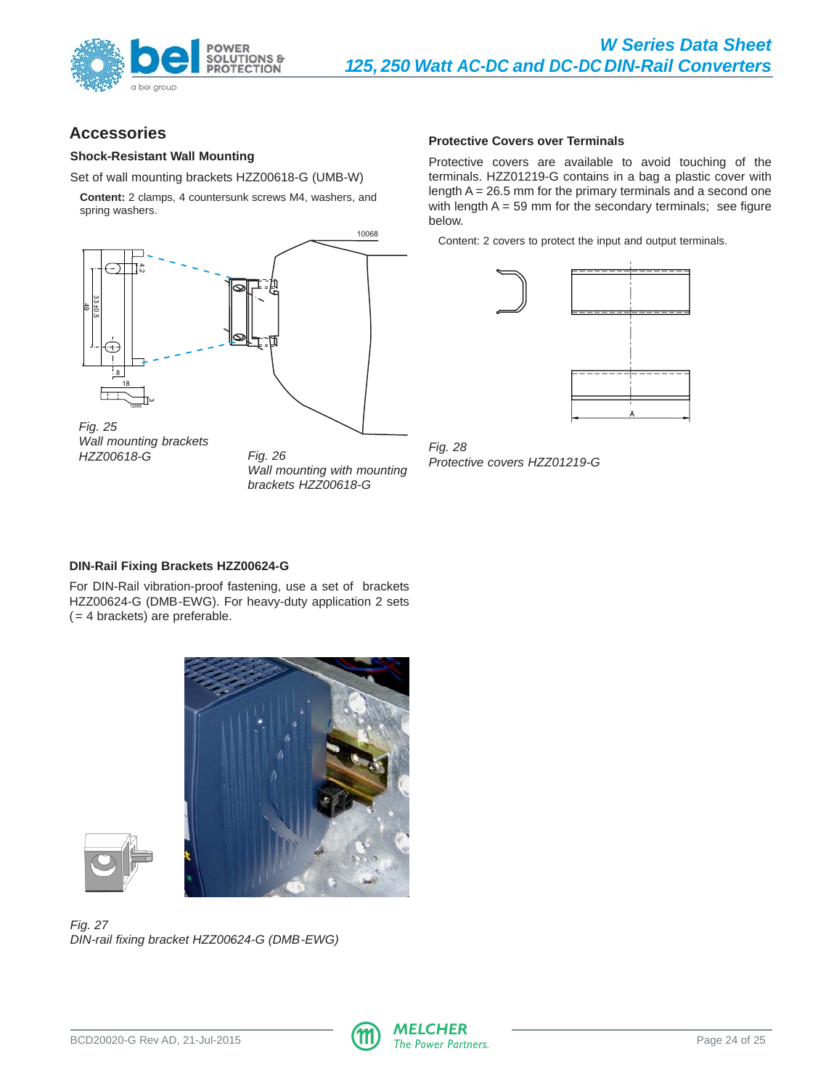<span id="page-23-0"></span>

# **Accessories**

#### **Shock-Resistant Wall Mounting**

Set of wall mounting brackets HZZ00618-G (UMB-W)

**Content:** 2 clamps, 4 countersunk screws M4, washers, and spring washers.



Wall mounting brackets HZZ00618-G Fig. 26

Wall mounting with mounting brackets HZZ00618-G

#### **Protective Covers over Terminals**

Protective covers are available to avoid touching of the terminals. HZZ01219-G contains in a bag a plastic cover with length  $A = 26.5$  mm for the primary terminals and a second one with length  $A = 59$  mm for the secondary terminals; see figure below.

Content: 2 covers to protect the input and output terminals.



Fig. 28 Protective covers HZZ01219-G

# **DIN-Rail Fixing Brackets HZZ00624-G**

For DIN-Rail vibration-proof fastening, use a set of brackets HZZ00624-G (DMB-EWG). For heavy-duty application 2 sets  $( = 4$  brackets) are preferable.





Fig. 27 DIN-rail fixing bracket HZZ00624-G (DMB-EWG)